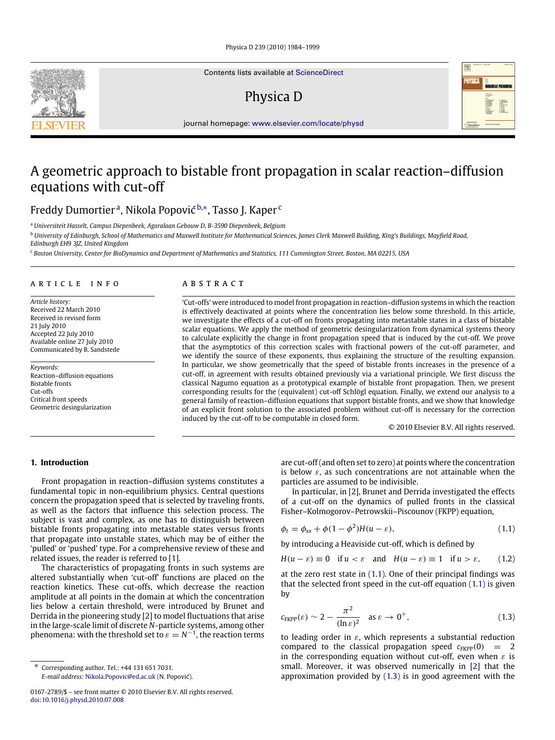Contents lists available at [ScienceDirect](http://www.elsevier.com/locate/physd)

# Physica D



journal homepage: [www.elsevier.com/locate/physd](http://www.elsevier.com/locate/physd)

# A geometric approach to bistable front propagation in scalar reaction–diffusion equations with cut-off

Freddy Dumortier <sup>[a](#page-0-0)</sup>, Nikola Popović <sup>[b,](#page-0-1)</sup>\*, Tasso J. Kaper <sup>[c](#page-0-3)</sup>

<span id="page-0-0"></span><sup>a</sup> *Universiteit Hasselt, Campus Diepenbeek, Agoralaan Gebouw D, B-3590 Diepenbeek, Belgium*

<span id="page-0-1"></span><sup>b</sup> *University of Edinburgh, School of Mathematics and Maxwell Institute for Mathematical Sciences, James Clerk Maxwell Building, King's Buildings, Mayfield Road, Edinburgh EH9 3JZ, United Kingdom*

<span id="page-0-3"></span><sup>c</sup> *Boston University, Center for BioDynamics and Department of Mathematics and Statistics, 111 Cummington Street, Boston, MA 02215, USA*

# a r t i c l e i n f o

*Article history:* Received 22 March 2010 Received in revised form 21 July 2010 Accepted 22 July 2010 Available online 27 July 2010 Communicated by B. Sandstede

*Keywords:* Reaction–diffusion equations Bistable fronts Cut-offs Critical front speeds Geometric desingularization

# A B S T R A C T

'Cut-offs' were introduced to model front propagation in reaction–diffusion systems in which the reaction is effectively deactivated at points where the concentration lies below some threshold. In this article, we investigate the effects of a cut-off on fronts propagating into metastable states in a class of bistable scalar equations. We apply the method of geometric desingularization from dynamical systems theory to calculate explicitly the change in front propagation speed that is induced by the cut-off. We prove that the asymptotics of this correction scales with fractional powers of the cut-off parameter, and we identify the source of these exponents, thus explaining the structure of the resulting expansion. In particular, we show geometrically that the speed of bistable fronts increases in the presence of a cut-off, in agreement with results obtained previously via a variational principle. We first discuss the classical Nagumo equation as a prototypical example of bistable front propagation. Then, we present corresponding results for the (equivalent) cut-off Schlögl equation. Finally, we extend our analysis to a general family of reaction–diffusion equations that support bistable fronts, and we show that knowledge of an explicit front solution to the associated problem without cut-off is necessary for the correction induced by the cut-off to be computable in closed form.

<span id="page-0-6"></span><span id="page-0-5"></span><span id="page-0-4"></span>© 2010 Elsevier B.V. All rights reserved.

# **1. Introduction**

Front propagation in reaction–diffusion systems constitutes a fundamental topic in non-equilibrium physics. Central questions concern the propagation speed that is selected by traveling fronts, as well as the factors that influence this selection process. The subject is vast and complex, as one has to distinguish between bistable fronts propagating into metastable states versus fronts that propagate into unstable states, which may be of either the 'pulled' or 'pushed' type. For a comprehensive review of these and related issues, the reader is referred to [\[1\]](#page-15-0).

The characteristics of propagating fronts in such systems are altered substantially when 'cut-off' functions are placed on the reaction kinetics. These cut-offs, which decrease the reaction amplitude at all points in the domain at which the concentration lies below a certain threshold, were introduced by Brunet and Derrida in the pioneering study [\[2\]](#page-15-1) to model fluctuations that arise in the large-scale limit of discrete *N*-particle systems, among other phenomena: with the threshold set to  $\varepsilon = N^{-1}$ , the reaction terms

*E-mail address:* [Nikola.Popovic@ed.ac.uk](mailto:Nikola.Popovic@ed.ac.uk) (N. Popović).

are cut-off (and often set to zero) at points where the concentration is below  $\varepsilon$ , as such concentrations are not attainable when the particles are assumed to be indivisible.

In particular, in [\[2\]](#page-15-1), Brunet and Derrida investigated the effects of a cut-off on the dynamics of pulled fronts in the classical Fisher–Kolmogorov–Petrowskii–Piscounov (FKPP) equation,

$$
\phi_t = \phi_{xx} + \phi(1 - \phi^2)H(u - \varepsilon),\tag{1.1}
$$

by introducing a Heaviside cut-off, which is defined by

$$
H(u - \varepsilon) \equiv 0 \quad \text{if } u < \varepsilon \quad \text{and} \quad H(u - \varepsilon) \equiv 1 \quad \text{if } u > \varepsilon, \tag{1.2}
$$

at the zero rest state in  $(1.1)$ . One of their principal findings was that the selected front speed in the cut-off equation [\(1.1\)](#page-0-4) is given by

$$
c_{\text{FKPP}}(\varepsilon) \sim 2 - \frac{\pi^2}{(\ln \varepsilon)^2} \quad \text{as } \varepsilon \to 0^+, \tag{1.3}
$$

to leading order in  $\varepsilon$ , which represents a substantial reduction compared to the classical propagation speed  $c_{FKPP}(0) = 2$ in the corresponding equation without cut-off, even when  $\varepsilon$  is small. Moreover, it was observed numerically in [\[2\]](#page-15-1) that the approximation provided by [\(1.3\)](#page-0-5) is in good agreement with the



<span id="page-0-2"></span><sup>∗</sup> Corresponding author. Tel.: +44 131 651 7031.

<sup>0167-2789/\$ –</sup> see front matter © 2010 Elsevier B.V. All rights reserved. [doi:10.1016/j.physd.2010.07.008](http://dx.doi.org/10.1016/j.physd.2010.07.008)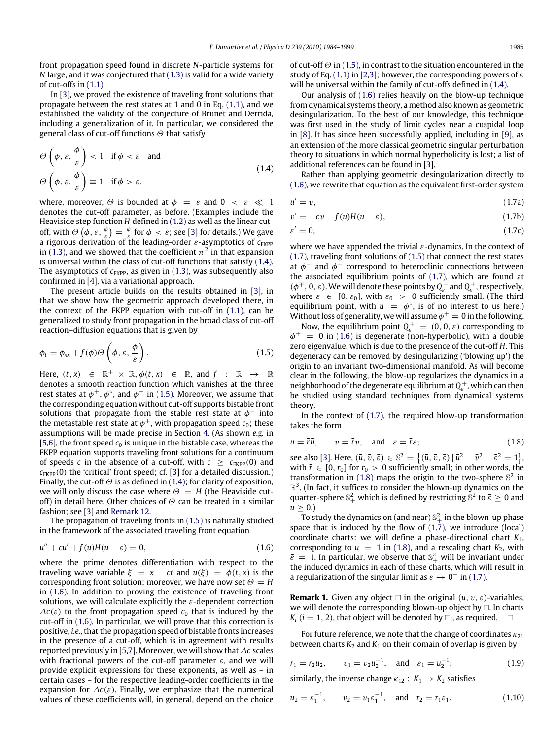front propagation speed found in discrete *N*-particle systems for *N* large, and it was conjectured that [\(1.3\)](#page-0-5) is valid for a wide variety of cut-offs in [\(1.1\).](#page-0-4)

In [\[3\]](#page-15-2), we proved the existence of traveling front solutions that propagate between the rest states at 1 and 0 in Eq. [\(1.1\),](#page-0-4) and we established the validity of the conjecture of Brunet and Derrida, including a generalization of it. In particular, we considered the general class of cut-off functions  $\Theta$  that satisfy

$$
\Theta\left(\phi, \varepsilon, \frac{\phi}{\varepsilon}\right) < 1 \quad \text{if } \phi < \varepsilon \quad \text{and}
$$
\n
$$
\Theta\left(\phi, \varepsilon, \frac{\phi}{\varepsilon}\right) \equiv 1 \quad \text{if } \phi > \varepsilon,
$$
\n
$$
(1.4)
$$

where, moreover,  $\Theta$  is bounded at  $\phi = \varepsilon$  and  $0 \lt \varepsilon \ll 1$ denotes the cut-off parameter, as before. (Examples include the Heaviside step function *H* defined in [\(1.2\)](#page-0-6) as well as the linear cutoff, with  $\Theta\left(\phi,\varepsilon,\frac{\phi}{\varepsilon}\right)=\frac{\phi}{\varepsilon}$  for  $\phi\,<\varepsilon$ ; see [\[3\]](#page-15-2) for details.) We gave a rigorous derivation of the leading-order ε-asymptotics of  $c_{\text{FKPP}}$ in [\(1.3\),](#page-0-5) and we showed that the coefficient  $\pi^2$  in that expansion is universal within the class of cut-off functions that satisfy [\(1.4\).](#page-1-0) The asymptotics of  $c_{\text{FKPP}}$ , as given in [\(1.3\),](#page-0-5) was subsequently also confirmed in [\[4\]](#page-15-3), via a variational approach.

The present article builds on the results obtained in [\[3\]](#page-15-2), in that we show how the geometric approach developed there, in the context of the FKPP equation with cut-off in [\(1.1\),](#page-0-4) can be generalized to study front propagation in the broad class of cut-off reaction–diffusion equations that is given by

$$
\phi_t = \phi_{xx} + f(\phi)\Theta\left(\phi, \varepsilon, \frac{\phi}{\varepsilon}\right). \tag{1.5}
$$

Here,  $(t, x) \in \mathbb{R}^+ \times \mathbb{R}, \phi(t, x) \in \mathbb{R}, \text{ and } f : \mathbb{R} \to \mathbb{R}$ denotes a smooth reaction function which vanishes at the three rest states at  $\phi^+, \phi^\circ$ , and  $\phi^-$  in [\(1.5\).](#page-1-1) Moreover, we assume that the corresponding equation without cut-off supports bistable front solutions that propagate from the stable rest state at  $\phi^-$  into the metastable rest state at  $\phi^+$ , with propagation speed  $c_0$ ; these assumptions will be made precise in Section [4.](#page-10-0) (As shown *e.g.* in [\[5](#page-15-4)[,6\]](#page-15-5), the front speed  $c_0$  is unique in the bistable case, whereas the FKPP equation supports traveling front solutions for a continuum of speeds *c* in the absence of a cut-off, with  $c \geq c_{\text{KPP}}(0)$  and  $c_{\text{KPP}}(0)$  the 'critical' front speed; cf. [\[3\]](#page-15-2) for a detailed discussion.) Finally, the cut-off  $\Theta$  is as defined in [\(1.4\);](#page-1-0) for clarity of exposition, we will only discuss the case where  $\Theta = H$  (the Heaviside cutoff) in detail here. Other choices of  $\Theta$  can be treated in a similar fashion; see [\[3\]](#page-15-2) and [Remark 12.](#page-8-0)

The propagation of traveling fronts in [\(1.5\)](#page-1-1) is naturally studied in the framework of the associated traveling front equation

$$
u'' + cu' + f(u)H(u - \varepsilon) = 0,
$$
\n(1.6)

where the prime denotes differentiation with respect to the traveling wave variable  $\xi = x - ct$  and  $u(\xi) = \phi(t, x)$  is the corresponding front solution; moreover, we have now set  $\Theta = H$ in [\(1.6\).](#page-1-2) In addition to proving the existence of traveling front solutions, we will calculate explicitly the  $\varepsilon$ -dependent correction  $\Delta c(\varepsilon)$  to the front propagation speed  $c_0$  that is induced by the cut-off in [\(1.6\).](#page-1-2) In particular, we will prove that this correction is positive, *i.e.*, that the propagation speed of bistable fronts increases in the presence of a cut-off, which is in agreement with results reported previously in [\[5,](#page-15-4)[7\]](#page-15-6). Moreover, we will show that ∆*c* scales with fractional powers of the cut-off parameter  $\varepsilon$ , and we will provide explicit expressions for these exponents, as well as – in certain cases – for the respective leading-order coefficients in the expansion for  $\Delta c(\varepsilon)$ . Finally, we emphasize that the numerical values of these coefficients will, in general, depend on the choice of cut-off  $\Theta$  in [\(1.5\),](#page-1-1) in contrast to the situation encountered in the study of Eq. [\(1.1\)](#page-0-4) in [\[2,](#page-15-1)[3\]](#page-15-2); however, the corresponding powers of  $\varepsilon$ will be universal within the family of cut-offs defined in  $(1.4)$ .

Our analysis of [\(1.6\)](#page-1-2) relies heavily on the blow-up technique from dynamical systems theory, a method also known as geometric desingularization. To the best of our knowledge, this technique was first used in the study of limit cycles near a cuspidal loop in [\[8\]](#page-15-7). It has since been successfully applied, including in [\[9\]](#page-15-8), as an extension of the more classical geometric singular perturbation theory to situations in which normal hyperbolicity is lost; a list of additional references can be found in [\[3\]](#page-15-2).

<span id="page-1-0"></span>Rather than applying geometric desingularization directly to [\(1.6\),](#page-1-2) we rewrite that equation as the equivalent first-order system

<span id="page-1-5"></span>
$$
u' = v,\tag{1.7a}
$$

<span id="page-1-3"></span>
$$
v' = -cv - f(u)H(u - \varepsilon), \tag{1.7b}
$$

$$
\varepsilon' = 0,\tag{1.7c}
$$

where we have appended the trivial  $\varepsilon$ -dynamics. In the context of [\(1.7\),](#page-1-3) traveling front solutions of [\(1.5\)](#page-1-1) that connect the rest states at  $\phi^-$  and  $\phi^+$  correspond to heteroclinic connections between the associated equilibrium points of [\(1.7\),](#page-1-3) which are found at  $(\phi^{\mp}, 0, \varepsilon)$ . We will denote these points by  $Q_{\varepsilon}^-$  and  $Q_{\varepsilon}^+$ , respectively, where  $\varepsilon \in [0, \varepsilon_0]$ , with  $\varepsilon_0 > 0$  sufficiently small. (The third equilibrium point, with  $u = \phi^\circ$ , is of no interest to us here.) Without loss of generality, we will assume  $\phi^+=0$  in the following.

<span id="page-1-1"></span>Now, the equilibrium point  $Q_{\varepsilon}^+ = (0, 0, \varepsilon)$  corresponding to  $\phi^+ = 0$  in [\(1.6\)](#page-1-2) is degenerate (non-hyperbolic), with a double zero eigenvalue, which is due to the presence of the cut-off *H*. This degeneracy can be removed by desingularizing ('blowing up') the origin to an invariant two-dimensional manifold. As will become clear in the following, the blow-up regularizes the dynamics in a neighborhood of the degenerate equilibrium at  $Q_{\!\varepsilon}^+$  , which can then be studied using standard techniques from dynamical systems theory.

In the context of [\(1.7\),](#page-1-3) the required blow-up transformation takes the form

<span id="page-1-4"></span>
$$
u = \bar{r}\bar{u}, \qquad v = \bar{r}\bar{v}, \quad \text{and} \quad \varepsilon = \bar{r}\bar{\varepsilon}; \tag{1.8}
$$

see also [\[3\]](#page-15-2). Here,  $(\bar{u}, \bar{v}, \bar{\varepsilon}) \in \mathbb{S}^2 = \{(\bar{u}, \bar{v}, \bar{\varepsilon}) | \bar{u}^2 + \bar{v}^2 + \bar{\varepsilon}^2 = 1\}$ , with  $\bar{r} \in [0, r_0]$  for  $r_0 > 0$  sufficiently small; in other words, the transformation in [\(1.8\)](#page-1-4) maps the origin to the two-sphere  $\mathbb{S}^2$  in  $\mathbb{R}^3$ . (In fact, it suffices to consider the blown-up dynamics on the quarter-sphere  $\mathbb{S}^2_+$  which is defined by restricting  $\mathbb{S}^2$  to  $\bar{\varepsilon} \geq 0$  and  $\bar{u} \geq 0.$ 

<span id="page-1-2"></span>To study the dynamics on (and near)  $\mathbb{S}^{2}_{+}$  in the blown-up phase space that is induced by the flow of  $(1.7)$ , we introduce  $(local)$ coordinate charts: we will define a phase-directional chart *K*1, corresponding to  $\bar{u} = 1$  in [\(1.8\),](#page-1-4) and a rescaling chart  $K_2$ , with  $\bar{\varepsilon} = 1$ . In particular, we observe that  $\mathbb{S}^2_+$  will be invariant under the induced dynamics in each of these charts, which will result in a regularization of the singular limit as  $\varepsilon \to 0^+$  in [\(1.7\).](#page-1-3)

**Remark 1.** Given any object  $\Box$  in the original  $(u, v, \varepsilon)$ -variables, we will denote the corresponding blown-up object by  $\overline{\Box}$ . In charts  $K_i$  (*i* = 1, 2), that object will be denoted by  $\Box_i$ , as required.  $\Box$ 

For future reference, we note that the change of coordinates  $\kappa_{21}$ between charts  $K_2$  and  $K_1$  on their domain of overlap is given by

<span id="page-1-7"></span>
$$
r_1 = r_2 u_2
$$
,  $v_1 = v_2 u_2^{-1}$ , and  $\varepsilon_1 = u_2^{-1}$ ; (1.9)

similarly, the inverse change  $\kappa_{12}: K_1 \rightarrow K_2$  satisfies

<span id="page-1-6"></span>
$$
u_2 = \varepsilon_1^{-1}
$$
,  $v_2 = v_1 \varepsilon_1^{-1}$ , and  $r_2 = r_1 \varepsilon_1$ . (1.10)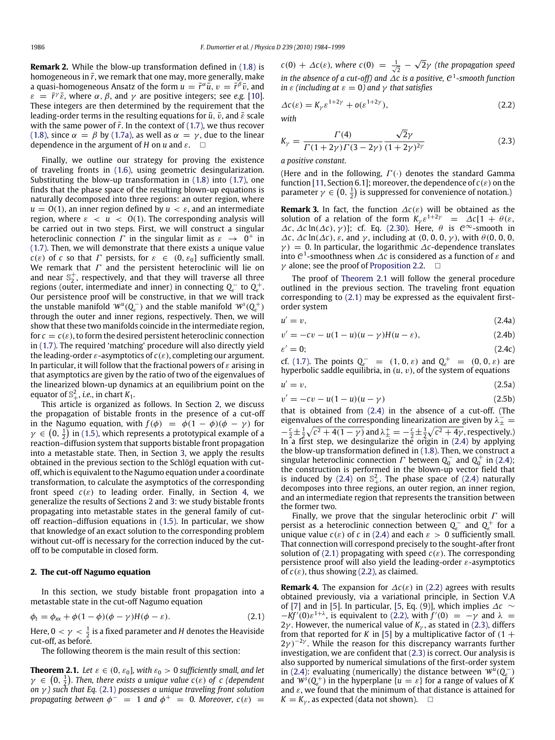**Remark 2.** While the blow-up transformation defined in [\(1.8\)](#page-1-4) is homogeneous in  $\bar{r}$ , we remark that one may, more generally, make a quasi-homogeneous Ansatz of the form  $u = \bar{r}^{\alpha} \bar{u}, v = \bar{r}^{\beta} \bar{v}$ , and  $\varepsilon = \bar{r}^{\gamma} \bar{\varepsilon}$ , where  $\alpha$ ,  $\beta$ , and  $\gamma$  are positive integers; see *e.g.* [\[10\]](#page-15-9). These integers are then determined by the requirement that the leading-order terms in the resulting equations for  $\bar{u}$ ,  $\bar{v}$ , and  $\bar{\varepsilon}$  scale with the same power of  $\bar{r}$ . In the context of [\(1.7\),](#page-1-3) we thus recover [\(1.8\),](#page-1-4) since  $\alpha = \beta$  by [\(1.7a\),](#page-1-5) as well as  $\alpha = \gamma$ , due to the linear dependence in the argument of *H* on *u* and  $\varepsilon$ .  $\square$ 

Finally, we outline our strategy for proving the existence of traveling fronts in [\(1.6\),](#page-1-2) using geometric desingularization. Substituting the blow-up transformation in [\(1.8\)](#page-1-4) into [\(1.7\),](#page-1-3) one finds that the phase space of the resulting blown-up equations is naturally decomposed into three regions: an outer region, where  $u = O(1)$ , an inner region defined by  $u < \varepsilon$ , and an intermediate region, where  $\varepsilon < u < O(1)$ . The corresponding analysis will be carried out in two steps. First, we will construct a singular heteroclinic connection  $\Gamma$  in the singular limit as  $\varepsilon \rightarrow 0^+$  in [\(1.7\).](#page-1-3) Then, we will demonstrate that there exists a unique value *c*( $\varepsilon$ ) of *c* so that *Γ* persists, for  $\varepsilon \in (0, \varepsilon_0]$  sufficiently small. We remark that  $\Gamma$  and the persistent heteroclinic will lie on and near  $\mathbb{S}_2^+$ , respectively, and that they will traverse all three regions (outer, intermediate and inner) in connecting  $Q_{\varepsilon}^-$  to  $Q_{\varepsilon}^+$ . Our persistence proof will be constructive, in that we will track the unstable manifold  $W^u(Q_{\varepsilon}^-)$  and the stable manifold  $W^s(Q_{\varepsilon}^+)$ through the outer and inner regions, respectively. Then, we will show that these two manifolds coincide in the intermediate region, for  $c = c(\varepsilon)$ , to form the desired persistent heteroclinic connection in [\(1.7\).](#page-1-3) The required 'matching' procedure will also directly yield the leading-order  $\varepsilon$ -asymptotics of  $c(\varepsilon)$ , completing our argument. In particular, it will follow that the fractional powers of  $\varepsilon$  arising in that asymptotics are given by the ratio of two of the eigenvalues of the linearized blown-up dynamics at an equilibrium point on the equator of  $\mathbb{S}^2_+$ , *i.e.*, in chart  $K_1$ .

This article is organized as follows. In Section [2,](#page-2-0) we discuss the propagation of bistable fronts in the presence of a cut-off in the Nagumo equation, with  $f(\phi) = \phi(1 - \phi)(\phi - \gamma)$  for  $\gamma \in \left(0, \frac{1}{2}\right)$  in [\(1.5\),](#page-1-1) which represents a prototypical example of a reaction–diffusion system that supports bistable front propagation into a metastable state. Then, in Section [3,](#page-9-0) we apply the results obtained in the previous section to the Schlögl equation with cutoff, which is equivalent to the Nagumo equation under a coordinate transformation, to calculate the asymptotics of the corresponding front speed  $c(\varepsilon)$  to leading order. Finally, in Section [4,](#page-10-0) we generalize the results of Sections [2](#page-2-0) and [3:](#page-9-0) we study bistable fronts propagating into metastable states in the general family of cutoff reaction–diffusion equations in [\(1.5\).](#page-1-1) In particular, we show that knowledge of an exact solution to the corresponding problem without cut-off is necessary for the correction induced by the cutoff to be computable in closed form.

## <span id="page-2-0"></span>**2. The cut-off Nagumo equation**

In this section, we study bistable front propagation into a metastable state in the cut-off Nagumo equation

<span id="page-2-4"></span>
$$
\phi_t = \phi_{xx} + \phi(1 - \phi)(\phi - \gamma)H(\phi - \varepsilon).
$$
\n(2.1)

Here,  $0 < \gamma < \frac{1}{2}$  is a fixed parameter and *H* denotes the Heaviside cut-off, as before.

<span id="page-2-2"></span>The following theorem is the main result of this section:

**Theorem 2.1.** *Let*  $\varepsilon \in (0, \varepsilon_0]$ *, with*  $\varepsilon_0 > 0$  *sufficiently small, and let*  $\gamma \in (0, \frac{1}{2})$ . Then, there exists a unique value  $c(\varepsilon)$  of c (dependent *on* γ *) such that Eq.* [\(2.1\)](#page-2-1) *possesses a unique traveling front solution propagating between*  $\phi^{-}$  = 1 *and*  $\phi^{+}$  = 0*. Moreover, c*(*ε*) =

 $c(0) + \Delta c(\varepsilon)$ , where  $c(0) = \frac{1}{\sqrt{2}}$ 2γ *(the propagation speed in the absence of a cut-off) and* ∆*c is a positive,* C 1 *-smooth function in*  $\varepsilon$  *(including at*  $\varepsilon = 0$ *) and*  $\gamma$  *that satisfies* 

$$
\Delta c(\varepsilon) = K_{\gamma} \varepsilon^{1+2\gamma} + o(\varepsilon^{1+2\gamma}),\tag{2.2}
$$

*with*

<span id="page-2-5"></span>
$$
K_{\gamma} = \frac{\Gamma(4)}{\Gamma(1+2\gamma)\Gamma(3-2\gamma)} \frac{\sqrt{2}\gamma}{(1+2\gamma)^{2\gamma}}
$$
(2.3)

*a positive constant.*

(Here and in the following,  $\Gamma(\cdot)$  denotes the standard Gamma function [\[11,](#page-15-10) Section 6.1]; moreover, the dependence of  $c(\varepsilon)$  on the parameter  $\gamma \in \left(0, \frac{1}{2}\right)$  is suppressed for convenience of notation.)

**Remark 3.** In fact, the function  $\Delta c(\varepsilon)$  will be obtained as the solution of a relation of the form  $K_{\gamma} \varepsilon^{1+2\gamma} = \Delta c [1 + \theta(\varepsilon,$  $\Delta c$ ,  $\Delta c$  ln( $\Delta c$ ),  $\gamma$ )]; cf. Eq. [\(2.30\).](#page-8-1) Here,  $\theta$  is  $\mathcal{C}^{\infty}$ -smooth in  $\Delta c$ ,  $\Delta c$  ln( $\Delta c$ ),  $\varepsilon$ , and  $\gamma$ , including at (0, 0, 0, γ), with  $\theta$ (0, 0, 0,  $\gamma$ ) = 0. In particular, the logarithmic  $\Delta c$ -dependence translates into  $\mathcal{C}^1$ -smoothness when  $\Delta c$  is considered as a function of  $\varepsilon$  and  $\gamma$  alone; see the proof of [Proposition 2.2.](#page-7-0)  $\Box$ 

The proof of [Theorem 2.1](#page-2-2) will follow the general procedure outlined in the previous section. The traveling front equation corresponding to [\(2.1\)](#page-2-1) may be expressed as the equivalent firstorder system

$$
u' = v,\tag{2.4a}
$$

<span id="page-2-3"></span>
$$
v' = -cv - u(1 - u)(u - \gamma)H(u - \varepsilon),
$$
 (2.4b)

$$
\varepsilon' = 0; \tag{2.4c}
$$

cf. [\(1.7\).](#page-1-3) The points  $Q_{\varepsilon}^- = (1, 0, \varepsilon)$  and  $Q_{\varepsilon}^+ = (0, 0, \varepsilon)$  are hyperbolic saddle equilibria, in  $(u, v)$ , of the system of equations

$$
u' = v,\tag{2.5a}
$$

<span id="page-2-6"></span>
$$
v' = -cv - u(1 - u)(u - \gamma)
$$
 (2.5b)

that is obtained from [\(2.4\)](#page-2-3) in the absence of a cut-off. (The eigenvalues of the corresponding linearization are given by  $\lambda_{\pm}^-$  =  $-\frac{c}{2} \pm \frac{1}{2} \sqrt{c^2 + 4(1 - \gamma)}$  and  $\lambda \pm \frac{1}{2} = -\frac{c}{2} \pm \frac{1}{2} \sqrt{c^2 + 4\gamma}$ , respectively.) In a first step, we desingularize the origin in [\(2.4\)](#page-2-3) by applying the blow-up transformation defined in [\(1.8\).](#page-1-4) Then, we construct a singular heteroclinic connection  $\Gamma$  between  $Q_0^-$  and  $Q_0^+$  in [\(2.4\);](#page-2-3) the construction is performed in the blown-up vector field that is induced by [\(2.4\)](#page-2-3) on  $\mathbb{S}^2_+$ . The phase space of (2.4) naturally decomposes into three regions, an outer region, an inner region, and an intermediate region that represents the transition between the former two.

Finally, we prove that the singular heteroclinic orbit  $\Gamma$  will persist as a heteroclinic connection between  $Q_{\varepsilon}$  and  $Q_{\varepsilon}^{+}$  for a unique value  $c(\varepsilon)$  of *c* in [\(2.4\)](#page-2-3) and each  $\varepsilon > 0$  sufficiently small. That connection will correspond precisely to the sought-after front solution of [\(2.1\)](#page-2-1) propagating with speed  $c(\varepsilon)$ . The corresponding persistence proof will also yield the leading-order  $\varepsilon$ -asymptotics of  $c(\varepsilon)$ , thus showing [\(2.2\),](#page-2-4) as claimed.

<span id="page-2-1"></span>**Remark 4.** The expansion for  $\Delta c(\varepsilon)$  in [\(2.2\)](#page-2-4) agrees with results obtained previously, via a variational principle, in Section V.A of [\[7\]](#page-15-6) and in [\[5\]](#page-15-4). In particular, [\[5,](#page-15-4) Eq. (9)], which implies ∆*c* ∼  $-kf'(0)\varepsilon^{1+\lambda}$ , is equivalent to [\(2.2\),](#page-2-4) with  $f'(0) = -\gamma$  and  $\lambda =$ 2γ. However, the numerical value of  $K_{\gamma}$ , as stated in [\(2.3\),](#page-2-5) differs from that reported for *K* in [\[5\]](#page-15-4) by a multiplicative factor of  $(1 +$  $2\gamma$ )<sup>-2γ</sup>. While the reason for this discrepancy warrants further investigation, we are confident that [\(2.3\)](#page-2-5) is correct. Our analysis is also supported by numerical simulations of the first-order system in [\(2.4\):](#page-2-3) evaluating (numerically) the distance between  $W^{\mu}(Q_{\epsilon}^-)$ and  $W^{s}(Q_{\varepsilon}^{+})$  in the hyperplane  $\{u = \varepsilon\}$  for a range of values of *K* and  $\varepsilon$ , we found that the minimum of that distance is attained for  $K = K_{\nu}$ , as expected (data not shown).  $\square$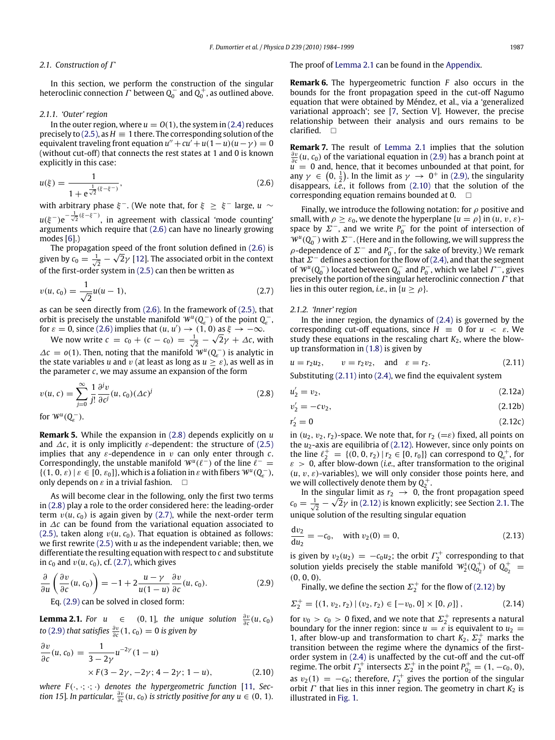## <span id="page-3-8"></span>*2.1. Construction of* Γ

In this section, we perform the construction of the singular heteroclinic connection  $\varGamma$  between  $Q_0^-$  and  $Q_0^+$ , as outlined above.

#### <span id="page-3-9"></span>*2.1.1. 'Outer' region*

In the outer region, where  $u = O(1)$ , the system in [\(2.4\)](#page-2-3) reduces precisely to [\(2.5\),](#page-2-6) as  $H \equiv 1$  there. The corresponding solution of the  $\mathsf{equivalent}$  traveling front equation  $u'' + cu' + u(1-u)(u-\gamma) = 0$ (without cut-off) that connects the rest states at 1 and 0 is known explicitly in this case:

$$
u(\xi) = \frac{1}{1 + e^{\frac{1}{\sqrt{2}}(\xi - \xi^{-})}},
$$
\n(2.6)

with arbitrary phase  $\xi^{\pm}$ . (We note that, for  $\xi \geq \xi^{\pm}$  large,  $u \sim$  $u(\xi^-) e^{-\frac{1}{\sqrt{2}}(\xi-\xi^-)}$ , in agreement with classical 'mode counting' arguments which require that [\(2.6\)](#page-3-0) can have no linearly growing modes [\[6\]](#page-15-5).)

The propagation speed of the front solution defined in [\(2.6\)](#page-3-0) is given by  $c_0 = \frac{1}{\sqrt{2}} - \sqrt{2} \gamma$  [\[12\]](#page-15-11). The associated orbit in the context of the first-order system in [\(2.5\)](#page-2-6) can then be written as

$$
v(u, c_0) = \frac{1}{\sqrt{2}}u(u-1),
$$
\n(2.7)

as can be seen directly from [\(2.6\).](#page-3-0) In the framework of [\(2.5\),](#page-2-6) that orbit is precisely the unstable manifold  $W^u(Q_e^-)$  of the point  $Q_e^-$ , for  $\varepsilon = 0$ , since [\(2.6\)](#page-3-0) implies that  $(u, u') \to (1, 0)$  as  $\xi \to -\infty$ . √

We now write  $c = c_0 + (c - c_0) = \frac{1}{\sqrt{2}}$  –  $\overline{2}\gamma + \varDelta {\mathcal{c}}$ , with  $\Delta c = o(1)$ . Then, noting that the manifold  $W^u(Q_c^-)$  is analytic in the state variables *u* and *v* (at least as long as  $u \geq \varepsilon$ ), as well as in the parameter *c*, we may assume an expansion of the form

$$
v(u, c) = \sum_{j=0}^{\infty} \frac{1}{j!} \frac{\partial^j v}{\partial c^j} (u, c_0) (\Delta c)^j
$$
 (2.8)

for  $W^u(Q_{\varepsilon}^-)$ .

**Remark 5.** While the expansion in [\(2.8\)](#page-3-1) depends explicitly on *u* and  $\Delta c$ , it is only implicitly  $\varepsilon$ -dependent: the structure of [\(2.5\)](#page-2-6) implies that any  $\varepsilon$ -dependence in  $v$  can only enter through  $c$ . Correspondingly, the unstable manifold  $W^u(\ell^-)$  of the line  $\ell^- =$  $\{(1, 0, \varepsilon) \mid \varepsilon \in [0, \varepsilon_0]\}$ , which is a foliation in  $\varepsilon$  with fibers  $W^u(Q_{\varepsilon}^-)$ , only depends on  $\varepsilon$  in a trivial fashion.  $\square$ 

As will become clear in the following, only the first two terms in [\(2.8\)](#page-3-1) play a role to the order considered here: the leading-order term  $v(u, c_0)$  is again given by [\(2.7\),](#page-3-2) while the next-order term in ∆*c* can be found from the variational equation associated to [\(2.5\),](#page-2-6) taken along  $v(u, c_0)$ . That equation is obtained as follows: we first rewrite [\(2.5\)](#page-2-6) with *u* as the independent variable; then, we differentiate the resulting equation with respect to *c* and substitute in  $c_0$  and  $v(u, c_0)$ , cf. [\(2.7\),](#page-3-2) which gives

$$
\frac{\partial}{\partial u}\left(\frac{\partial v}{\partial c}(u, c_0)\right) = -1 + 2\frac{u - \gamma}{u(1 - u)}\frac{\partial v}{\partial c}(u, c_0).
$$
\n(2.9)

<span id="page-3-4"></span>Eq. [\(2.9\)](#page-3-3) can be solved in closed form:

**Lemma 2.1.** *For*  $u \in (0, 1]$ *, the unique solution*  $\frac{\partial v}{\partial c}(u, c_0)$ *to* [\(2.9\)](#page-3-3) *that satisfies*  $\frac{\partial v}{\partial c}(1, c_0) = 0$  *is given by* 

$$
\frac{\partial v}{\partial c}(u, c_0) = \frac{1}{3 - 2\gamma} u^{-2\gamma} (1 - u)
$$
  
× F(3 - 2\gamma, -2\gamma; 4 - 2\gamma; 1 - u), (2.10)

*where*  $F(\cdot, \cdot; \cdot; \cdot)$  *denotes the hypergeometric function* [\[11,](#page-15-10) *Section 15*]. *In particular,*  $\frac{\partial v}{\partial c}(u, c_0)$  *is strictly positive for any*  $u \in (0, 1)$ *.* 

The proof of [Lemma 2.1](#page-3-4) can be found in the [Appendix.](#page-14-0)

**Remark 6.** The hypergeometric function *F* also occurs in the bounds for the front propagation speed in the cut-off Nagumo equation that were obtained by Méndez, et al., via a 'generalized variational approach'; see [\[7,](#page-15-6) Section V]. However, the precise relationship between their analysis and ours remains to be clarified.  $\square$ 

<span id="page-3-0"></span>**Remark 7.** The result of [Lemma 2.1](#page-3-4) implies that the solution  $\frac{\partial v}{\partial c}(u, c_0)$  of the variational equation in [\(2.9\)](#page-3-3) has a branch point at  $\tilde{u} = 0$  and, hence, that it becomes unbounded at that point, for any  $\gamma \in (0, \frac{1}{2})$ . In the limit as  $\gamma \to 0^+$  in [\(2.9\),](#page-3-3) the singularity disappears, *i.e.*, it follows from [\(2.10\)](#page-3-5) that the solution of the corresponding equation remains bounded at 0.  $\Box$ 

Finally, we introduce the following notation: for  $\rho$  positive and small, with  $\rho \geq \varepsilon_0$ , we denote the hyperplane  $\{u = \rho\}$  in  $(u, v, \varepsilon)$ space by  $\Sigma^-$ , and we write  $P_0^-$  for the point of intersection of  $W^u(Q_0^-)$  with  $\Sigma^-$ . (Here and in the following, we will suppress the  $\rho$ -dependence of  $\Sigma^-$  and  $P_0^-$ , for the sake of brevity.) We remark that  $\Sigma^-$  defines a section for the flow of [\(2.4\),](#page-2-3) and that the segment of  $W^u(Q_0^-)$  located between  $Q_0^-$  and  $P_0^-$ , which we label  $\Gamma^-$ , gives precisely the portion of the singular heteroclinic connection  $\Gamma$  that lies in this outer region, *i.e.*, in  $\{u \ge \rho\}$ .

#### <span id="page-3-11"></span><span id="page-3-2"></span>*2.1.2. 'Inner' region*

In the inner region, the dynamics of  $(2.4)$  is governed by the corresponding cut-off equations, since  $H \equiv 0$  for  $u < \varepsilon$ . We study these equations in the rescaling chart  $K_2$ , where the blowup transformation in [\(1.8\)](#page-1-4) is given by

<span id="page-3-6"></span>
$$
u = r_2 u_2
$$
,  $v = r_2 v_2$ , and  $\varepsilon = r_2$ . (2.11)

Substituting [\(2.11\)](#page-3-6) into [\(2.4\),](#page-2-3) we find the equivalent system

<span id="page-3-1"></span>
$$
u_2' = v_2, \t\t(2.12a)
$$

<span id="page-3-7"></span>
$$
v_2' = -cv_2,\tag{2.12b}
$$

$$
r_2' = 0 \tag{2.12c}
$$

in  $(u_2, v_2, r_2)$ -space. We note that, for  $r_2 (= \varepsilon)$  fixed, all points on the *u*<sub>2</sub>-axis are equilibria of [\(2.12\).](#page-3-7) However, since only points on the line  $\ell_2^+ = \{(0, 0, r_2) | r_2 \in [0, r_0] \}$  can correspond to  $Q_{\epsilon}^+$ , for  $\varepsilon > 0$ , after blow-down (*i.e.*, after transformation to the original  $(u, v, \varepsilon)$ -variables), we will only consider those points here, and we will collectively denote them by  $Q_2^+$ .

In the singular limit as  $r_2 \rightarrow 0$ , the front propagation speed  $c_0 = \frac{1}{\sqrt{2}} - \sqrt{2}\gamma$  in [\(2.12\)](#page-3-7) is known explicitly; see Section [2.1.](#page-3-8) The unique solution of the resulting singular equation

$$
\frac{dv_2}{du_2} = -c_0, \quad \text{with } v_2(0) = 0,
$$
\n(2.13)

<span id="page-3-3"></span>is given by  $v_2(u_2) = -c_0u_2$ ; the orbit  $\Gamma_2^+$  corresponding to that solution yields precisely the stable manifold  $W_2^s(Q_{0_2}^+)$  $Q_{0_2}^+$ ) of  $Q_{0_2}^+$  $\begin{matrix} 1 \\ 0 \\ 2 \end{matrix}$  = (0, 0, 0).

<span id="page-3-12"></span><span id="page-3-10"></span>Finally, we define the section  $\Sigma_2^+$  for the flow of [\(2.12\)](#page-3-7) by

$$
\Sigma_2^+ = \{(1, v_2, r_2) \mid (v_2, r_2) \in [-v_0, 0] \times [0, \rho] \},\tag{2.14}
$$

<span id="page-3-5"></span>for  $v_0 > c_0 > 0$  fixed, and we note that  $\Sigma_2^+$  represents a natural boundary for the inner region: since  $u = \varepsilon$  is equivalent to  $u_2 = 1$ , ofter blow up and transformation to chart K.  $\Sigma^+$  marks the 1, after blow-up and transformation to chart  $K_2, \Sigma_2^+$  marks the transition between the regime where the dynamics of the firstorder system in [\(2.4\)](#page-2-3) is unaffected by the cut-off and the cut-off regime. The orbit  $\Gamma_2^+$  intersects  $\Sigma_2^+$  in the point  $P_{0,2}^+$  $b_{0_2}^+ = (1, -c_0, 0),$ as  $v_2(1) = -c_0$ ; therefore,  $\Gamma_2^+$  gives the portion of the singular orbit  $\Gamma$  that lies in this inner region. The geometry in chart  $K_2$  is illustrated in [Fig. 1.](#page-4-0)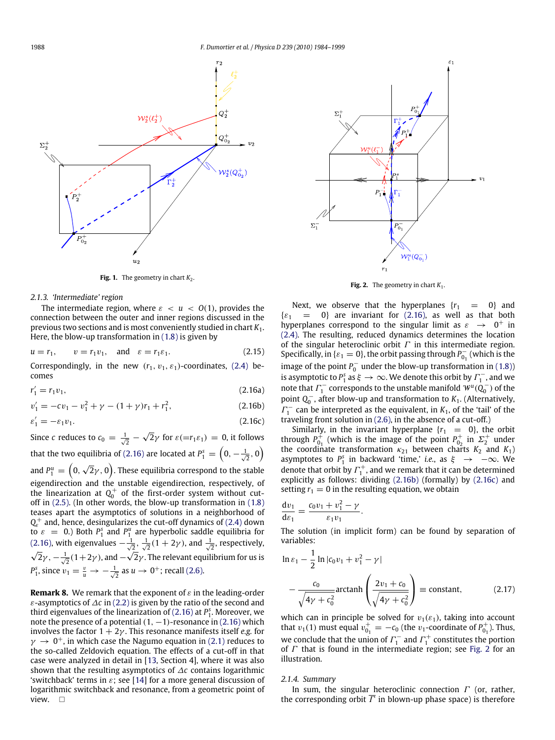<span id="page-4-0"></span>

**Fig. 1.** The geometry in chart  $K_2$ .

#### <span id="page-4-5"></span>*2.1.3. 'Intermediate' region*

The intermediate region, where  $\varepsilon < u < O(1)$ , provides the connection between the outer and inner regions discussed in the previous two sections and is most conveniently studied in chart *K*1. Here, the blow-up transformation in [\(1.8\)](#page-1-4) is given by

$$
u = r_1, \qquad v = r_1 v_1, \quad \text{and} \quad \varepsilon = r_1 \varepsilon_1. \tag{2.15}
$$

Correspondingly, in the new  $(r_1, v_1, \varepsilon_1)$ -coordinates, [\(2.4\)](#page-2-3) becomes

$$
r_1' = r_1 v_1,\tag{2.16a}
$$

<span id="page-4-1"></span>
$$
v_1' = -cv_1 - v_1^2 + \gamma - (1 + \gamma)r_1 + r_1^2,\tag{2.16b}
$$

$$
\varepsilon_1' = -\varepsilon_1 v_1. \tag{2.16c}
$$

Since *c* reduces to  $c_0 = \frac{1}{\sqrt{2}}$  – √  $\overline{2}\gamma$  for  $\varepsilon(=r_1\varepsilon_1) = 0$ , it follows that the two equilibria of [\(2.16\)](#page-4-1) are located at  $P_1^{\text{s}}=\left(0,-\frac{1}{\sqrt{2}},0\right)$ √

and  $P_1^u=\left(0,\sqrt{2}\gamma,0\right)$ . These equilibria correspond to the stable eigendirection and the unstable eigendirection, respectively, of the linearization at  $Q_0^+$  of the first-order system without cutoff in [\(2.5\).](#page-2-6) (In other words, the blow-up transformation in [\(1.8\)](#page-1-4) teases apart the asymptotics of solutions in a neighborhood of *Q* + and, hence, desingularizes the cut-off dynamics of [\(2.4\)](#page-2-3) down  $\epsilon_e$  and, hence, desingularizes the cut-on dynamics of  $\epsilon_2$ . The down [\(2.16\),](#page-4-1) with eigenvalues  $-\frac{1}{\sqrt{2}}$ ,  $\frac{1}{\sqrt{2}}(1+2\gamma)$ , and  $\frac{1}{\sqrt{2}}$ , respectively,  $\overline{2}\gamma,-\frac{1}{\sqrt{2}}(1+2\gamma)$  , and  $\sqrt{2}$ 2 $\gamma$  . The relevant equilibrium for us is *P*<sup>2</sup><sub>1</sub>, since  $v_1 = \frac{v}{u}$  →  $-\frac{1}{\sqrt{2}}$  as *u* → 0<sup>+</sup>; recall [\(2.6\).](#page-3-0)

<span id="page-4-8"></span>**Remark 8.** We remark that the exponent of  $\varepsilon$  in the leading-order ε-asymptotics of ∆*c* in [\(2.2\)](#page-2-4) is given by the ratio of the second and third eigenvalues of the linearization of [\(2.16\)](#page-4-1) at  $P_1^s$ . Moreover, we note the presence of a potential  $(1, -1)$ -resonance in  $(2.16)$  which involves the factor  $1 + 2\gamma$ . This resonance manifests itself *e.g.* for  $\gamma \rightarrow 0^+$ , in which case the Nagumo equation in [\(2.1\)](#page-2-1) reduces to the so-called Zeldovich equation. The effects of a cut-off in that case were analyzed in detail in [\[13,](#page-15-12) Section 4], where it was also shown that the resulting asymptotics of ∆*c* contains logarithmic 'switchback' terms in  $\varepsilon$ ; see [\[14\]](#page-15-13) for a more general discussion of logarithmic switchback and resonance, from a geometric point of view.  $\Box$ 

<span id="page-4-4"></span>

**Fig. 2.** The geometry in chart  $K_1$ .

<span id="page-4-7"></span>Next, we observe that the hyperplanes  ${r_1 = 0}$  and  $\{\varepsilon_1 = 0\}$  are invariant for [\(2.16\),](#page-4-1) as well as that both hyperplanes correspond to the singular limit as  $\varepsilon \rightarrow 0^+$  in [\(2.4\).](#page-2-3) The resulting, reduced dynamics determines the location of the singular heteroclinic orbit  $\Gamma$  in this intermediate region. Specifically, in { $\varepsilon_1 = 0$ }, the orbit passing through  $P_{01}^ \delta_{0_1}^{\mathsf{p}}$  (which is the image of the point  $P_0^-$  under the blow-up transformation in [\(1.8\)\)](#page-1-4) is asymptotic to  $P_1^s$  as  $\xi \to \infty$ . We denote this orbit by  $\varGamma_1^-$ , and we note that  $\Gamma_1^-$  corresponds to the unstable manifold  $\mathcal{W}^u(\mathbf{Q}_0^-)$  of the point *Q*<sub>0</sub><sup>−</sup>, after blow-up and transformation to *K*<sub>1</sub>. (Alternatively,  $\Gamma_1^-$  can be interpreted as the equivalent, in  $K_1$ , of the 'tail' of the traveling front solution in [\(2.6\),](#page-3-0) in the absence of a cut-off.)

<span id="page-4-3"></span><span id="page-4-2"></span>Similarly, in the invariant hyperplane  $\{r_1 = 0\}$ , the orbit through  $P_0^{\text{+}}$  $_{0_1}^{+}$  (which is the image of the point  $P_{0_2}^{+}$  $v_{0_2}^+$  in  $\Sigma_2^+$  under the coordinate transformation  $\kappa_{21}$  between charts  $K_2$  and  $K_1$ ) asymptotes to  $P_1^s$  in backward 'time,' *i.e.*, as  $\xi \rightarrow -\infty$ . We denote that orbit by  $\Gamma_1^+$ , and we remark that it can be determined explicitly as follows: dividing [\(2.16b\)](#page-4-2) (formally) by [\(2.16c\)](#page-4-3) and setting  $r_1 = 0$  in the resulting equation, we obtain

$$
\frac{\mathrm{d}v_1}{\mathrm{d}\varepsilon_1}=\frac{c_0v_1+v_1^2-\gamma}{\varepsilon_1v_1}.
$$

The solution (in implicit form) can be found by separation of variables:

<span id="page-4-6"></span>
$$
\ln \varepsilon_1 - \frac{1}{2} \ln |c_0 v_1 + v_1^2 - \gamma|
$$
  
 
$$
-\frac{c_0}{\sqrt{4\gamma + c_0^2}} \arctanh\left(\frac{2v_1 + c_0}{\sqrt{4\gamma + c_0^2}}\right) \equiv \text{constant}, \qquad (2.17)
$$

which can in principle be solved for  $v_1(\varepsilon_1)$ , taking into account that  $v_1(1)$  must equal  $v_{0}^+$  $v_{0_1}^+ = -c_0$  (the *v*<sub>1</sub>-coordinate of  $P_{0_1}^+$  $b_{0_1}^+$ ). Thus, we conclude that the union of  $\Gamma_1^-$  and  $\Gamma_1^+$  constitutes the portion of  $\Gamma$  that is found in the intermediate region; see [Fig. 2](#page-4-4) for an illustration.

## *2.1.4. Summary*

In sum, the singular heteroclinic connection  $\Gamma$  (or, rather, the corresponding orbit  $\overline{\Gamma}$  in blown-up phase space) is therefore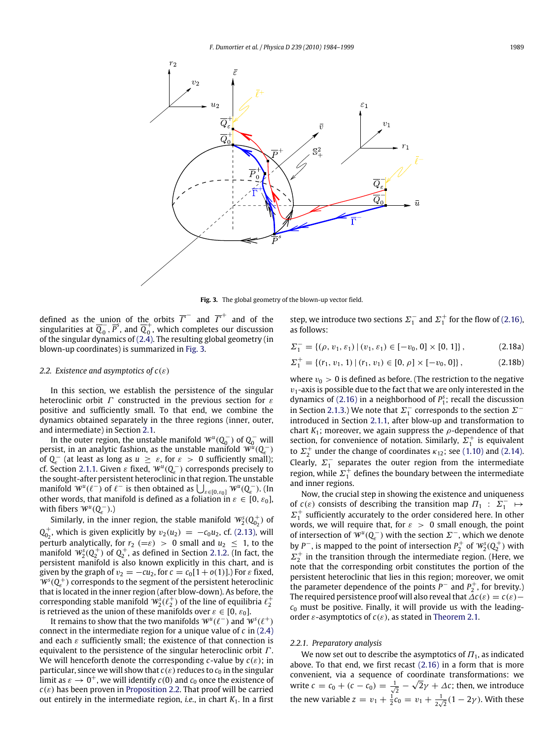<span id="page-5-0"></span>

**Fig. 3.** The global geometry of the blown-up vector field.

defined as the union of the orbits  $\overline{\varGamma}^-$  and  $\overline{\varGamma}^+$  and of the singularities at *Q* −  $\frac{1}{0}$ ,  $\overline{P}^s$ , and  $\overline{Q}^+_0$  $_0^{\circ}$  , which completes our discussion of the singular dynamics of [\(2.4\).](#page-2-3) The resulting global geometry (in blown-up coordinates) is summarized in [Fig. 3.](#page-5-0)

## <span id="page-5-3"></span>*2.2. Existence and asymptotics of c*(ε)

In this section, we establish the persistence of the singular heteroclinic orbit  $\Gamma$  constructed in the previous section for  $\varepsilon$ positive and sufficiently small. To that end, we combine the dynamics obtained separately in the three regions (inner, outer, and intermediate) in Section [2.1.](#page-3-8)

In the outer region, the unstable manifold  $\mathcal{W}^u(Q_0^-)$  of  $Q_0^-$  will persist, in an analytic fashion, as the unstable manifold  $\widetilde{W}^u(Q^-_\varepsilon)$ betsist, in an analytic fashion, as the unstable manifold  $W(Q_{\varepsilon})$ <br>of  $Q_{\varepsilon}^-$  (at least as long as  $u \geq \varepsilon$ , for  $\varepsilon > 0$  sufficiently small); cf. Section [2.1.1.](#page-3-9) Given  $\varepsilon$  fixed,  $W^u(Q_{\varepsilon}^-)$  corresponds precisely to the sought-after persistent heteroclinic in that region. The unstable manifold  $W^u(\ell^-)$  of  $\ell^-$  is then obtained as  $\bigcup_{\varepsilon \in [0,\varepsilon_0]} W^u(Q^-_\varepsilon)$ . (In other words, that manifold is defined as a foliation in  $\varepsilon \in [0, \varepsilon_0]$ , with fibers  $W^u(Q_\varepsilon^-)$ .)

Similarly, in the inner region, the stable manifold  $\mathcal{W}_{2}^{\mathrm{s}}(\mathrm{Q}_{0_{2}}^{+}% ,\mathrm{Q}_{1})$  $_{0}^{+}$ ) of  $Q_{0}^{+}$  $<sup>+</sup><sub>02</sub>$ , which is given explicitly by  $v_2(u_2) = -c_0u_2$ , cf. [\(2.13\),](#page-3-10) will</sup> perturb analytically, for  $r_2 (= \varepsilon) > 0$  small and  $u_2 \leq 1$ , to the manifold  $W_2^s(Q_2^+)$  of  $Q_2^+$ , as defined in Section [2.1.2.](#page-3-11) (In fact, the persistent manifold is also known explicitly in this chart, and is given by the graph of  $v_2 = -cu_2$ , for  $c = c_0[1 + o(1)]$ .) For  $\varepsilon$  fixed,  $W<sup>s</sup>(Q<sub>e</sub><sup>+</sup>)$  corresponds to the segment of the persistent heteroclinic that is located in the inner region (after blow-down). As before, the corresponding stable manifold  $\mathit{W}^s_2(\ell^+_2)$  of the line of equilibria  $\ell^+_2$ is retrieved as the union of these manifolds over  $\varepsilon \in [0, \varepsilon_0]$ .

It remains to show that the two manifolds  $\mathbf{W}^{u}(\ell^-)$  and  $\mathbf{W}^{s}(\ell^+)$ connect in the intermediate region for a unique value of *c* in [\(2.4\)](#page-2-3) and each  $\varepsilon$  sufficiently small; the existence of that connection is equivalent to the persistence of the singular heteroclinic orbit  $\Gamma$ . We will henceforth denote the corresponding *c*-value by *c*(ε); in particular, since we will show that  $c(\varepsilon)$  reduces to  $c_0$  in the singular limit as  $\varepsilon \to 0^+$ , we will identify  $c(0)$  and  $c_0$  once the existence of  $c(\varepsilon)$  has been proven in [Proposition 2.2.](#page-7-0) That proof will be carried out entirely in the intermediate region, *i.e.*, in chart *K*1. In a first

step, we introduce two sections  $\Sigma_1^-$  and  $\Sigma_1^+$  for the flow of [\(2.16\),](#page-4-1) as follows:

<span id="page-5-2"></span>
$$
\Sigma_1^- = \{ (\rho, v_1, \varepsilon_1) \mid (v_1, \varepsilon_1) \in [-v_0, 0] \times [0, 1] \},\tag{2.18a}
$$

<span id="page-5-1"></span>
$$
\Sigma_1^+ = \{(r_1, v_1, 1) \mid (r_1, v_1) \in [0, \rho] \times [-v_0, 0] \},\tag{2.18b}
$$

where  $v_0 > 0$  is defined as before. (The restriction to the negative  $v_1$ -axis is possible due to the fact that we are only interested in the dynamics of [\(2.16\)](#page-4-1) in a neighborhood of  $P_1^s$ ; recall the discussion in Section [2.1.3.](#page-4-5)) We note that  $\Sigma_1^-$  corresponds to the section  $\Sigma^$ introduced in Section [2.1.1,](#page-3-9) after blow-up and transformation to chart  $K_1$ ; moreover, we again suppress the  $\rho$ -dependence of that section, for convenience of notation. Similarly,  $\Sigma_1^+$  is equivalent to  $\Sigma_2^+$  under the change of coordinates  $\kappa_{12}$ ; see [\(1.10\)](#page-1-6) and [\(2.14\).](#page-3-12) Clearly,  $\Sigma_1^-$  separates the outer region from the intermediate region, while  $\Sigma_1^+$  defines the boundary between the intermediate and inner regions.

Now, the crucial step in showing the existence and uniqueness of  $c(\varepsilon)$  consists of describing the transition map  $\Pi_1$  :  $\Sigma_1^ \mapsto$  $\Sigma_1^+$  sufficiently accurately to the order considered here. In other words, we will require that, for  $\varepsilon > 0$  small enough, the point of intersection of  $W^u(Q^-_\varepsilon)$  with the section  $\mathfrak{L}^-$  , which we denote by  $P^-$ , is mapped to the point of intersection  $P_2^+$  of  $W_2^s(Q_2^+)$  with  $\Sigma_2^+$  in the transition through the intermediate region. (Here, we note that the corresponding orbit constitutes the portion of the persistent heteroclinic that lies in this region; moreover, we omit the parameter dependence of the points  $P^-$  and  $P_2^+$ , for brevity.) The required persistence proof will also reveal that  $\Delta c(\varepsilon) = c(\varepsilon)$  –  $c_0$  must be positive. Finally, it will provide us with the leadingorder  $\varepsilon$ -asymptotics of  $c(\varepsilon)$ , as stated in [Theorem 2.1.](#page-2-2)

#### *2.2.1. Preparatory analysis*

We now set out to describe the asymptotics of  $\Pi_1$ , as indicated above. To that end, we first recast [\(2.16\)](#page-4-1) in a form that is more convenient, via a sequence of coordinate transformations: we write  $c = c_0 + (c - c_0) = \frac{1}{\sqrt{2}} - \sqrt{2}\gamma + \Delta c$ ; then, we introduce the new variable  $z = v_1 + \frac{1}{2}c_0 = v_1 + \frac{1}{2v_1}$  $\frac{1}{2\sqrt{2}}(1-2\gamma)$ . With these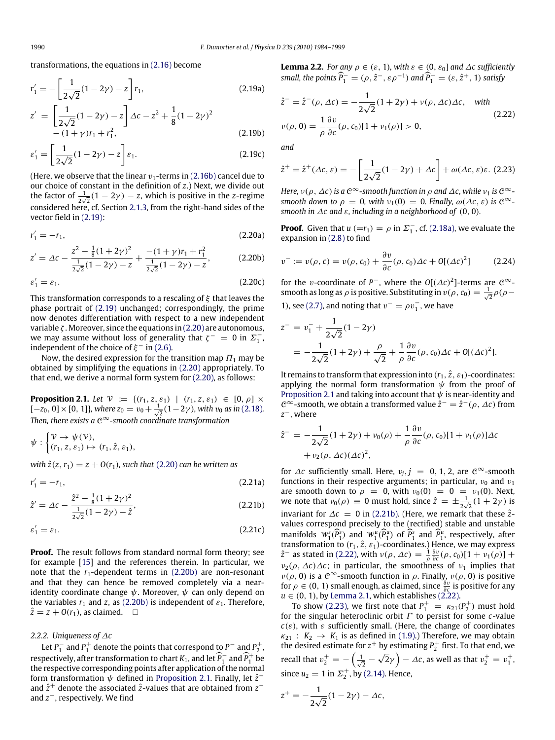transformations, the equations in [\(2.16\)](#page-4-1) become

<span id="page-6-0"></span>
$$
r_1' = -\left[\frac{1}{2\sqrt{2}}(1 - 2\gamma) - z\right]r_1,
$$
\n(2.19a)

$$
z' = \left[\frac{1}{2\sqrt{2}}(1 - 2\gamma) - z\right] \Delta c - z^2 + \frac{1}{8}(1 + 2\gamma)^2 - (1 + \gamma)r_1 + r_1^2,
$$
\n(2.19b)

$$
\varepsilon_1' = \left[\frac{1}{2\sqrt{2}}(1 - 2\gamma) - z\right] \varepsilon_1. \tag{2.19c}
$$

(Here, we observe that the linear  $v_1$ -terms in [\(2.16b\)](#page-4-2) cancel due to our choice of constant in the definition of *z*.) Next, we divide out the factor of  $\frac{1}{2\sqrt{2}}(1-2\gamma)-z$ , which is positive in the *z*-regime considered here, cf. Section [2.1.3,](#page-4-5) from the right-hand sides of the vector field in [\(2.19\):](#page-6-0)

<span id="page-6-1"></span>
$$
r_1' = -r_1,\tag{2.20a}
$$

$$
z' = \Delta c - \frac{z^2 - \frac{1}{8}(1+2\gamma)^2}{\frac{1}{2\sqrt{2}}(1-2\gamma) - z} + \frac{-(1+\gamma)r_1 + r_1^2}{\frac{1}{2\sqrt{2}}(1-2\gamma) - z},
$$
(2.20b)

$$
\varepsilon_1' = \varepsilon_1. \tag{2.20c}
$$

This transformation corresponds to a rescaling of  $\xi$  that leaves the phase portrait of [\(2.19\)](#page-6-0) unchanged; correspondingly, the prime now denotes differentiation with respect to a new independent variable  $\zeta$ . Moreover, since the equations in [\(2.20\)](#page-6-1) are autonomous, we may assume without loss of generality that  $\zeta^- = 0$  in  $\Sigma_1^-$ , independent of the choice of  $\xi^-$  in [\(2.6\).](#page-3-0)

Now, the desired expression for the transition map  $\Pi_1$  may be obtained by simplifying the equations in [\(2.20\)](#page-6-1) appropriately. To that end, we derive a normal form system for [\(2.20\),](#page-6-1) as follows:

<span id="page-6-3"></span>**Proposition 2.1.** *Let*  $V := \{(r_1, z, \varepsilon_1) | (r_1, z, \varepsilon_1) \in [0, \rho] \times$  $[-z_0, 0] \times [0, 1]$ , where  $z_0 = v_0 + \frac{1}{\sqrt{2}}(1 - 2\gamma)$ , with  $v_0$  as in [\(2.18\)](#page-5-1). *Then, there exists a* C <sup>∞</sup>*-smooth coordinate transformation*

$$
\psi : \begin{cases} \mathcal{V} \to \psi(\mathcal{V}), \\ (r_1, z, \varepsilon_1) \mapsto (r_1, \hat{z}, \varepsilon_1), \end{cases}
$$

*with*  $\hat{z}(z, r_1) = z + O(r_1)$ *, such that* [\(2.20\)](#page-6-1) *can be written as* 

<span id="page-6-8"></span>
$$
r_1' = -r_1,\t\t(2.21a)
$$

$$
\hat{z}' = \Delta c - \frac{\hat{z}^2 - \frac{1}{8}(1 + 2\gamma)^2}{\frac{1}{2\sqrt{2}}(1 - 2\gamma) - \hat{z}},
$$
\n(2.21b)

$$
\varepsilon_1' = \varepsilon_1. \tag{2.21c}
$$

**Proof.** The result follows from standard normal form theory; see for example [\[15\]](#page-15-14) and the references therein. In particular, we note that the  $r_1$ -dependent terms in  $(2.20b)$  are non-resonant and that they can hence be removed completely via a nearidentity coordinate change  $\psi$ . Moreover,  $\psi$  can only depend on the variables  $r_1$  and  $z$ , as [\(2.20b\)](#page-6-2) is independent of  $\varepsilon_1$ . Therefore,  $\hat{z} = z + O(r_1)$ , as claimed.  $\Box$ 

## *2.2.2. Uniqueness of* ∆*c*

Let  $P_1^-$  and  $P_1^+$  denote the points that correspond to  $P^-$  and  $P_2^+$ , respectively, after transformation to chart  $K_1$ , and let  $\widehat{P}_1^-$  and  $\widehat{P}_1^+$  be the respective corresponding points after application of the normal form transformation  $\psi$  defined in [Proposition 2.1.](#page-6-3) Finally, let  $\hat{z}^$ and *z*ˆ <sup>+</sup> denote the associated *z*ˆ-values that are obtained from *z* − and  $z^+$ , respectively. We find

<span id="page-6-7"></span>**Lemma 2.2.** *For any*  $\rho \in (\varepsilon, 1)$ *, with*  $\varepsilon \in (0, \varepsilon_0]$  *and*  $\Delta c$  *sufficiently small, the points*  $\widehat{P}_1^- = (\rho, \hat{z}^-, \varepsilon \rho^{-1})$  *and*  $\widehat{P}_1^+ = (\varepsilon, \hat{z}^+, 1)$  *satisfy* 

<span id="page-6-5"></span>
$$
\hat{z}^- = \hat{z}^-(\rho, \Delta c) = -\frac{1}{2\sqrt{2}}(1+2\gamma) + \nu(\rho, \Delta c)\Delta c, \quad \text{with}
$$
  

$$
\nu(\rho, 0) = \frac{1}{\rho} \frac{\partial \nu}{\partial c}(\rho, c_0)[1+\nu_1(\rho)] > 0,
$$
 (2.22)

<span id="page-6-6"></span>*and*

$$
\hat{z}^+ = \hat{z}^+ (\Delta \mathbf{c}, \varepsilon) = -\left[\frac{1}{2\sqrt{2}}(1 - 2\gamma) + \Delta \mathbf{c}\right] + \omega(\Delta \mathbf{c}, \varepsilon)\varepsilon. \tag{2.23}
$$

*Here,*  $\nu(\rho, \Delta c)$  *is a*  $C^{\infty}$ -smooth function in  $\rho$  and  $\Delta c$ , while  $\nu_1$  *is*  $C^{\infty}$ *smooth down to*  $\rho = 0$ , *with*  $\nu_1(0) = 0$ . *Finally*,  $\omega(\Delta c, \varepsilon)$  *is*  $C^{\infty}$ *smooth in*  $\Delta c$  *and*  $\varepsilon$ *, including in a neighborhood of* (0, 0)*.* 

**Proof.** Given that  $u (=r_1) = \rho$  in  $\Sigma_1^-$ , cf. [\(2.18a\),](#page-5-2) we evaluate the expansion in [\(2.8\)](#page-3-1) to find

<span id="page-6-10"></span><span id="page-6-2"></span>
$$
v^- := v(\rho, c) = v(\rho, c_0) + \frac{\partial v}{\partial c}(\rho, c_0) \Delta c + O[(\Delta c)^2]
$$
 (2.24)

for the *v*-coordinate of  $P^-$ , where the  $O[(\Delta c)^2]$ -terms are  $C^{\infty}$ smooth as long as  $\rho$  is positive. Substituting in  $v(\rho, c_0) = \frac{1}{\sqrt{2}} \rho(\rho -$ 

1), see [\(2.7\),](#page-3-2) and noting that  $v^- = \rho v_1^-$ , we have

$$
z^{-} = v_{1}^{-} + \frac{1}{2\sqrt{2}}(1 - 2\gamma)
$$
  
=  $-\frac{1}{2\sqrt{2}}(1 + 2\gamma) + \frac{\rho}{\sqrt{2}} + \frac{1}{\rho}\frac{\partial v}{\partial c}(\rho, c_{0})\Delta c + O[(\Delta c)^{2}].$ 

It remains to transform that expression into  $(r_1, \hat{z}, \varepsilon_1)$ -coordinates: applying the normal form transformation  $\psi$  from the proof of [Proposition 2.1](#page-6-3) and taking into account that  $\psi$  is near-identity and  $C^{\infty}$ -smooth, we obtain a transformed value  $\hat{z}^- = \hat{z}^-(\rho, \Delta c)$  from *z* <sup>−</sup>, where

$$
\hat{z}^- = -\frac{1}{2\sqrt{2}}(1+2\gamma) + \nu_0(\rho) + \frac{1}{\rho}\frac{\partial v}{\partial c}(\rho, c_0)[1+\nu_1(\rho)]\Delta c
$$
  
+  $\nu_2(\rho, \Delta c)(\Delta c)^2$ ,

<span id="page-6-9"></span><span id="page-6-4"></span>for  $\Delta c$  sufficiently small. Here,  $v_j$ ,  $j = 0, 1, 2$ , are  $\mathcal{C}^{\infty}$ -smooth functions in their respective arguments; in particular,  $v_0$  and  $v_1$ are smooth down to  $\rho = 0$ , with  $v_0(0) = 0 = v_1(0)$ . Next, we note that  $v_0(\rho) \equiv 0$  must hold, since  $\hat{z} = \pm \frac{1}{2\sqrt{2}}(1 + 2\gamma)$  is invariant for  $\Delta c = 0$  in [\(2.21b\).](#page-6-4) (Here, we remark that these  $\hat{z}$ values correspond precisely to the (rectified) stable and unstable manifolds  $W_3^s(P_3^s)$  and  $W_1^u(P_1^u)$  of  $P_3^s$  and  $P_1^u$ , respectively, after transformation to  $(r_1, \hat{z}, \varepsilon_1)$ -coordinates.) Hence, we may express  $\hat{z}^-$  as stated in [\(2.22\),](#page-6-5) with  $\nu(\rho, \Delta c) = \frac{1}{\rho} \frac{\partial v}{\partial c}(\rho, c_0)[1 + \nu_1(\rho)] +$  $\nu_2(\rho, \Delta c) \Delta c$ ; in particular, the smoothness of  $\nu_1$  implies that  $\nu(\rho, 0)$  is a  $\mathcal{C}^{\infty}$ -smooth function in  $\rho$ . Finally,  $\nu(\rho, 0)$  is positive for  $\rho \in (0, 1)$  small enough, as claimed, since  $\frac{\partial v}{\partial c}$  is positive for any  $u \in (0, 1)$ , by [Lemma 2.1,](#page-3-4) which establishes  $(2.22)$ .

To show [\(2.23\),](#page-6-6) we first note that  $P_1^+ = \kappa_{21}(P_2^+)$  must hold for the singular heteroclinic orbit Γ to persist for some *c*-value  $c(\varepsilon)$ , with  $\varepsilon$  sufficiently small. (Here, the change of coordinates  $\kappa_{21}$  :  $K_2 \rightarrow K_1$  is as defined in [\(1.9\).](#page-1-7)) Therefore, we may obtain the desired estimate for  $z^+$  by estimating  $P_2^+$  first. To that end, we recall that  $v_2^+=-\left(\frac{1}{\sqrt{2}}-\sqrt{2}\gamma\right)-\Delta c$ , as well as that  $v_2^+=v_1^+$ . since  $u_2 = 1$  in  $\Sigma_2^+$ , by [\(2.14\).](#page-3-12) Hence,

$$
z^+ = -\frac{1}{2\sqrt{2}}(1-2\gamma) - \Delta c,
$$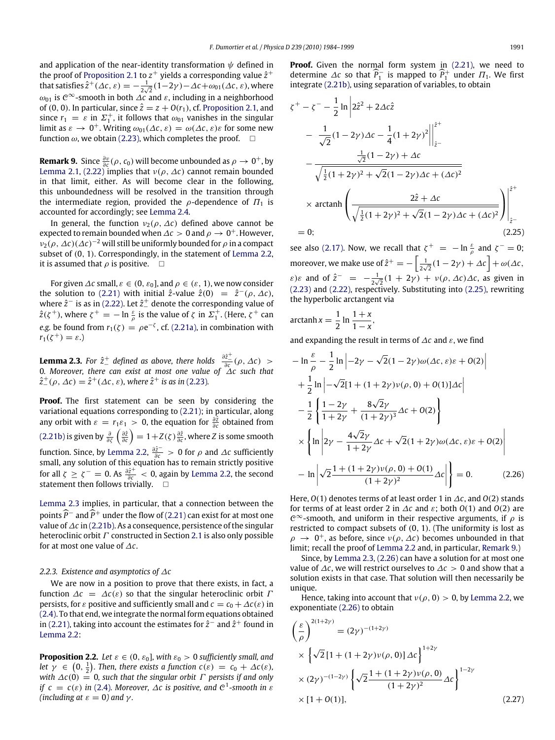and application of the near-identity transformation  $\psi$  defined in the proof of [Proposition 2.1](#page-6-3) to  $z^+$  yields a corresponding value  $\hat{z}^+$ that satisfies  $\hat{z}^+(\Delta t,\varepsilon) = -\frac{1}{2}$  $\frac{1}{2\sqrt{2}}(1-2\gamma)-\Delta c+\omega_{01}(\Delta c,\varepsilon)$ , where  $\omega_{01}$  is  $\mathcal{C}^{\infty}$ -smooth in both  $\Delta\mathcal{C}$  and  $\varepsilon$ , including in a neighborhood of (0, 0). In particular, since  $\hat{z} = z + O(r_1)$ , cf. [Proposition 2.1,](#page-6-3) and since  $r_1 = \varepsilon$  in  $\Sigma_1^+$ , it follows that  $\omega_{01}$  vanishes in the singular limit as  $\varepsilon \to 0^+$ . Writing  $\omega_{01}(\Delta c, \varepsilon) = \omega(\Delta c, \varepsilon)\varepsilon$  for some new function  $\omega$ , we obtain [\(2.23\),](#page-6-6) which completes the proof.  $\square$ 

<span id="page-7-3"></span>**Remark 9.** Since  $\frac{\partial v}{\partial c}(\rho, c_0)$  will become unbounded as  $\rho \to 0^+$ , by [Lemma 2.1,](#page-3-4) [\(2.22\)](#page-6-5) implies that  $v(\rho, \Delta c)$  cannot remain bounded in that limit, either. As will become clear in the following, this unboundedness will be resolved in the transition through the intermediate region, provided the  $\rho$ -dependence of  $\Pi_1$  is accounted for accordingly; see [Lemma 2.4.](#page-8-2)

In general, the function  $v_2(\rho, \Delta c)$  defined above cannot be expected to remain bounded when  $\varDelta c > 0$  and  $\rho \rightarrow 0^+.$  However,  $\nu_2(\rho, \Delta c)(\Delta c)^{-2}$  will still be uniformly bounded for  $\rho$  in a compact subset of (0, 1). Correspondingly, in the statement of [Lemma 2.2,](#page-6-7) it is assumed that  $\rho$  is positive.  $\Box$ 

For given  $\Delta c$  small,  $\varepsilon \in (0, \varepsilon_0]$ , and  $\rho \in (\varepsilon, 1)$ , we now consider the solution to [\(2.21\)](#page-6-8) with initial  $\hat{z}$ -value  $\hat{z}(0) = \hat{z}^-(\rho, \Delta c)$ , where  $\hat{z}^-$  is as in [\(2.22\).](#page-6-5) Let  $\hat{z}^+$  denote the corresponding value of  $\hat{z}(\zeta^+)$ , where  $\zeta^+ = -\ln\frac{\varepsilon}{\rho}$  is the value of  $\zeta$  in  $\Sigma^+_1$ . (Here,  $\zeta^+$  can *e.g.* be found from  $r_1(\zeta) = \rho e^{-\zeta}$ , cf. [\(2.21a\),](#page-6-9) in combination with  $r_1(\zeta^+) = \varepsilon.$ 

<span id="page-7-1"></span>**Lemma 2.3.** *For*  $\hat{z}^+$  *defined as above, there holds*  $\frac{\partial \hat{z}^+}{\partial c}(\rho, \Delta c)$  > 0*. Moreover, there can exist at most one value of* ∆*c such that*  $\hat{z}^+_{-}(\rho, \Delta c) = \hat{z}^+(\Delta c, \varepsilon)$ , where  $\hat{z}^+$  is as in [\(2.23\)](#page-6-6).

**Proof.** The first statement can be seen by considering the variational equations corresponding to [\(2.21\);](#page-6-8) in particular, along any orbit with  $\varepsilon = r_1 \varepsilon_1 > 0$ , the equation for  $\frac{\partial \hat{z}}{\partial c}$  obtained from  $(2.21b)$  is given by  $\frac{\partial}{\partial \zeta}\left(\frac{\partial \hat{z}}{\partial c}\right)=1+Z(\zeta)\frac{\partial \hat{z}}{\partial c}$ , where *Z* is some smooth function. Since, by [Lemma 2.2,](#page-6-7)  $\frac{\partial \hat{z}^{-}}{\partial c} > 0$  for  $\rho$  and  $\Delta c$  sufficiently small, any solution of this equation has to remain strictly positive for all  $\zeta \ge \zeta^- = 0$ . As  $\frac{\partial \hat{z}^+}{\partial c} < 0$ , again by [Lemma 2.2,](#page-6-7) the second statement then follows trivially. □

[Lemma 2.3](#page-7-1) implies, in particular, that a connection between the points  $\widehat{P}$ <sup>-</sup> and  $\widehat{P}$ <sup>+</sup> under the flow of [\(2.21\)](#page-6-8) can exist for at most one value of∆*c* in [\(2.21b\).](#page-6-4) As a consequence, persistence of the singular heteroclinic orbit  $\Gamma$  constructed in Section [2.1](#page-3-8) is also only possible for at most one value of ∆*c*.

## *2.2.3. Existence and asymptotics of* ∆*c*

We are now in a position to prove that there exists, in fact, a function  $\Delta c = \Delta c(\varepsilon)$  so that the singular heteroclinic orbit  $\Gamma$ persists, for  $\varepsilon$  positive and sufficiently small and  $c = c_0 + \Delta c(\varepsilon)$  in [\(2.4\).](#page-2-3) To that end, we integrate the normal form equations obtained in [\(2.21\),](#page-6-8) taking into account the estimates for  $\hat{z}^-$  and  $\hat{z}^+$  found in [Lemma 2.2:](#page-6-7)

<span id="page-7-0"></span>**Proposition 2.2.** *Let*  $\varepsilon \in (0, \varepsilon_0]$ *, with*  $\varepsilon_0 > 0$  *sufficiently small, and let*  $\gamma \in (0, \frac{1}{2})$ . Then, there exists a function  $c(\varepsilon) = c_0 + \Delta c(\varepsilon)$ , *with*  $\Delta c(0) = 0$ , such that the singular orbit  $\Gamma$  persists if and only *if*  $c = c(\varepsilon)$  *in* [\(2.4\)](#page-2-3)*.* Moreover,  $\Delta c$  *is positive, and*  $C^1$ -smooth *in*  $\varepsilon$ *(including at*  $\varepsilon = 0$ *) and*  $\gamma$ *.* 

**Proof.** Given the normal form system in [\(2.21\),](#page-6-8) we need to determine  $\Delta c$  so that  $\hat{P}^-_1$  is mapped to  $\hat{P}^+_1$  under  $\Pi_1$ . We first integrate [\(2.21b\),](#page-6-4) using separation of variables, to obtain

$$
\zeta^{+} - \zeta^{-} - \frac{1}{2} \ln \left| 2\hat{z}^{2} + 2\Delta c \hat{z} \right|
$$
  
\n
$$
- \frac{1}{\sqrt{2}} (1 - 2\gamma) \Delta c - \frac{1}{4} (1 + 2\gamma)^{2} \Big|_{\hat{z}-}^{\hat{z}^{+}}
$$
  
\n
$$
- \frac{\frac{1}{\sqrt{2}} (1 - 2\gamma) + \Delta c}{\sqrt{\frac{1}{2} (1 + 2\gamma)^{2} + \sqrt{2} (1 - 2\gamma) \Delta c + (\Delta c)^{2}}}
$$
  
\n
$$
\times \operatorname{arctanh} \left( \frac{2\hat{z} + \Delta c}{\sqrt{\frac{1}{2} (1 + 2\gamma)^{2} + \sqrt{2} (1 - 2\gamma) \Delta c + (\Delta c)^{2}}} \right) \Big|_{\hat{z}-}^{\hat{z}^{+}}
$$
  
\n= 0; (2.25)

<span id="page-7-2"></span>see also [\(2.17\).](#page-4-6) Now, we recall that  $\zeta^+ = -\ln \frac{\varepsilon}{a}$  and  $\zeta^- = 0$ ; ρ moreover, we make use of  $\hat{z}^+ = -\left[\frac{1}{2}\right]$  $\frac{1}{2\sqrt{2}}(1-2\gamma)+\Delta c+\omega(\Delta c,$  $\varepsilon$ )ε and of  $\hat{z}^- = -\frac{1}{2}$  $\frac{1}{2\sqrt{2}}(1 + 2\gamma) + \nu(\rho, \Delta c)\Delta c$ , as given in [\(2.23\)](#page-6-6) and [\(2.22\),](#page-6-5) respectively. Substituting into [\(2.25\),](#page-7-2) rewriting the hyperbolic arctangent via

$$
\operatorname{arctanh} x = \frac{1}{2} \ln \frac{1+x}{1-x},
$$

and expanding the result in terms of  $\Delta c$  and  $\varepsilon$ , we find

$$
-\ln \frac{\varepsilon}{\rho} - \frac{1}{2} \ln \left| -2\gamma - \sqrt{2}(1 - 2\gamma)\omega(\Delta c, \varepsilon)\varepsilon + O(2) \right|
$$
  
+ 
$$
\frac{1}{2} \ln \left| -\sqrt{2}[1 + (1 + 2\gamma)\nu(\rho, 0) + O(1)]\Delta c \right|
$$
  
- 
$$
\frac{1}{2} \left\{ \frac{1 - 2\gamma}{1 + 2\gamma} + \frac{8\sqrt{2}\gamma}{(1 + 2\gamma)^3} \Delta c + O(2) \right\}
$$
  

$$
\times \left\{ \ln \left| 2\gamma - \frac{4\sqrt{2}\gamma}{1 + 2\gamma} \Delta c + \sqrt{2}(1 + 2\gamma)\omega(\Delta c, \varepsilon)\varepsilon + O(2) \right|
$$
  
- 
$$
\ln \left| \sqrt{2} \frac{1 + (1 + 2\gamma)\nu(\rho, 0) + O(1)}{(1 + 2\gamma)^2} \Delta c \right| \right\} = 0.
$$
 (2.26)

<span id="page-7-4"></span>Here, *O*(1) denotes terms of at least order 1 in ∆*c*, and *O*(2) stands for terms of at least order 2 in  $\Delta c$  and  $\varepsilon$ ; both  $O(1)$  and  $O(2)$  are  $e^{\infty}$ -smooth, and uniform in their respective arguments, if  $\rho$  is restricted to compact subsets of (0, 1). (The uniformity is lost as  $\rho \rightarrow 0^+$ , as before, since  $\nu(\rho, \Delta c)$  becomes unbounded in that limit; recall the proof of [Lemma 2.2](#page-6-7) and, in particular, [Remark 9.](#page-7-3))

Since, by [Lemma 2.3,](#page-7-1) [\(2.26\)](#page-7-4) can have a solution for at most one value of ∆*c*, we will restrict ourselves to ∆*c* > 0 and show that a solution exists in that case. That solution will then necessarily be unique.

Hence, taking into account that  $v(\rho, 0) > 0$ , by [Lemma 2.2,](#page-6-7) we exponentiate [\(2.26\)](#page-7-4) to obtain

<span id="page-7-5"></span>
$$
\left(\frac{\varepsilon}{\rho}\right)^{2(1+2\gamma)} = (2\gamma)^{-(1+2\gamma)} \times \left\{\sqrt{2}\left[1 + (1+2\gamma)\nu(\rho, 0)\right]\Delta c\right\}^{1+2\gamma} \times (2\gamma)^{-(1-2\gamma)} \left\{\sqrt{2}\frac{1 + (1+2\gamma)\nu(\rho, 0)}{(1+2\gamma)^2}\Delta c\right\}^{1-2\gamma} \times [1+O(1)],
$$
\n(2.27)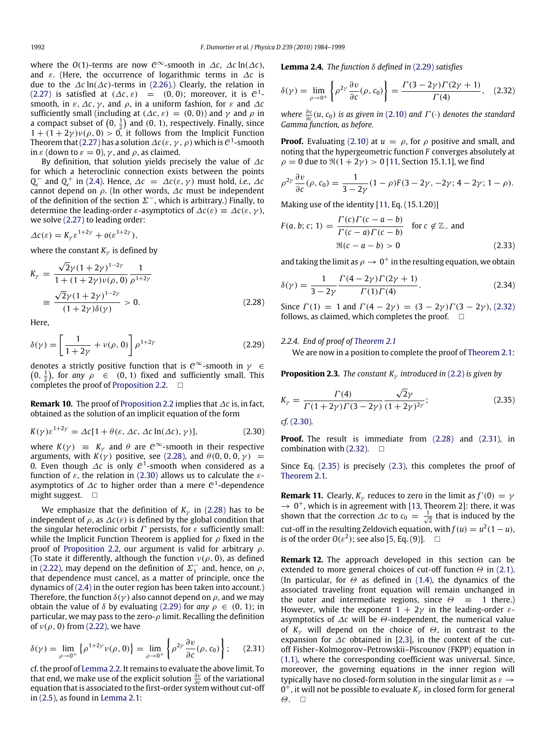where the *O*(1)-terms are now  $\mathcal{C}^{\infty}$ -smooth in  $\Delta c$ ,  $\Delta c \ln(\Delta c)$ , and ε. (Here, the occurrence of logarithmic terms in ∆*c* is due to the ∆*c* ln(∆*c*)-terms in [\(2.26\).](#page-7-4)) Clearly, the relation in [\(2.27\)](#page-7-5) is satisfied at  $(\Delta c, \varepsilon)$  = (0, 0); moreover, it is  $\mathcal{C}^1$ smooth, in  $\varepsilon$ ,  $\Delta c$ ,  $\gamma$ , and  $\rho$ , in a uniform fashion, for  $\varepsilon$  and  $\Delta c$ sufficiently small (including at  $(\Delta c, \varepsilon) = (0, 0)$ ) and  $\gamma$  and  $\rho$  in a compact subset of  $(0, \frac{1}{2})$  and  $(0, 1)$ , respectively. Finally, since  $1 + (1 + 2\gamma)\nu(\rho, 0) > 0$ , it follows from the Implicit Function Theorem that [\(2.27\)](#page-7-5) has a solution  $\varDelta\mathcal{c}(\varepsilon,\gamma,\rho)$  which is  $\mathcal{C}^1$ -smooth in  $\varepsilon$  (down to  $\varepsilon = 0$ ),  $\gamma$ , and  $\rho$ , as claimed.

By definition, that solution yields precisely the value of ∆*c* for which a heteroclinic connection exists between the points  $Q_{\varepsilon}$  and  $Q_{\varepsilon}$  in [\(2.4\).](#page-2-3) Hence,  $\Delta c = \Delta c(\varepsilon, \gamma)$  must hold, *i.e.*,  $\Delta c$ cannot depend on  $\rho$ . (In other words,  $\Delta c$  must be independent of the definition of the section  $\Sigma^-$ , which is arbitrary.) Finally, to determine the leading-order  $\varepsilon$ -asymptotics of  $\Delta c(\varepsilon) \equiv \Delta c(\varepsilon, \gamma)$ , we solve [\(2.27\)](#page-7-5) to leading order:

$$
\Delta c(\varepsilon) = K_{\gamma} \varepsilon^{1+2\gamma} + o(\varepsilon^{1+2\gamma}),
$$

where the constant  $K_{\gamma}$  is defined by

$$
K_{\gamma} = \frac{\sqrt{2}\gamma (1+2\gamma)^{1-2\gamma}}{1 + (1+2\gamma)\nu(\rho, 0)} \frac{1}{\rho^{1+2\gamma}}
$$
  

$$
\equiv \frac{\sqrt{2}\gamma (1+2\gamma)^{1-2\gamma}}{(1+2\gamma)\delta(\gamma)} > 0.
$$
 (2.28)

Here,

$$
\delta(\gamma) = \left[\frac{1}{1+2\gamma} + \nu(\rho, 0)\right] \rho^{1+2\gamma} \tag{2.29}
$$

denotes a strictly positive function that is  $\mathcal{C}^{\infty}$ -smooth in  $\gamma \in$  $(0, \frac{1}{2})$ , for *any*  $\rho \in (0, 1)$  fixed and sufficiently small. This completes the proof of [Proposition 2.2.](#page-7-0)  $\Box$ 

**Remark 10.** The proof of [Proposition 2.2](#page-7-0) implies that ∆*c* is, in fact, obtained as the solution of an implicit equation of the form

$$
K(\gamma)\varepsilon^{1+2\gamma} = \Delta c[1 + \theta(\varepsilon, \Delta c, \Delta c \ln(\Delta c), \gamma)],
$$
\n(2.30)

where  $K(\gamma) \equiv K_{\gamma}$  and  $\theta$  are  $C^{\infty}$ -smooth in their respective arguments, with  $K(\gamma)$  positive, see [\(2.28\),](#page-8-3) and  $\theta(0, 0, 0, \gamma)$  = 0. Even though  $\varDelta c$  is only  $\mathcal{C}^1$ -smooth when considered as a function of  $\varepsilon$ , the relation in [\(2.30\)](#page-8-1) allows us to calculate the  $\varepsilon$ asymptotics of  $\varDelta\mathfrak{c}$  to higher order than a mere  $\mathfrak{C}^1$ -dependence might suggest.  $\Box$ 

We emphasize that the definition of  $K_{\gamma}$  in [\(2.28\)](#page-8-3) has to be independent of  $\rho$ , as  $\Delta c(\varepsilon)$  is defined by the global condition that the singular heteroclinic orbit  $\Gamma$  persists, for  $\varepsilon$  sufficiently small: while the Implicit Function Theorem is applied for  $\rho$  fixed in the proof of [Proposition 2.2,](#page-7-0) our argument is valid for arbitrary  $\rho$ . (To state it differently, although the function  $v(\rho, 0)$ , as defined in [\(2.22\),](#page-6-5) may depend on the definition of  $\Sigma_1^-$  and, hence, on  $\rho$ , that dependence must cancel, as a matter of principle, once the dynamics of [\(2.4\)](#page-2-3) in the outer region has been taken into account.) Therefore, the function  $\delta(y)$  also cannot depend on  $\rho$ , and we may obtain the value of  $\delta$  by evaluating [\(2.29\)](#page-8-4) for *any*  $\rho \in (0, 1)$ ; in particular, we may pass to the zero- $\rho$  limit. Recalling the definition of  $v(\rho, 0)$  from [\(2.22\),](#page-6-5) we have

$$
\delta(\gamma) = \lim_{\rho \to 0^+} \left\{ \rho^{1+2\gamma} \nu(\rho, 0) \right\} = \lim_{\rho \to 0^+} \left\{ \rho^{2\gamma} \frac{\partial \nu}{\partial c}(\rho, c_0) \right\};\tag{2.31}
$$

cf. the proof of [Lemma 2.2.](#page-6-7) It remains to evaluate the above limit. To that end, we make use of the explicit solution  $\frac{\partial v}{\partial c}$  of the variational equation that is associated to the first-order system without cut-off in [\(2.5\),](#page-2-6) as found in [Lemma 2.1:](#page-3-4)

<span id="page-8-5"></span><span id="page-8-2"></span>**Lemma 2.4.** *The function* δ *defined in* [\(2.29\)](#page-8-4) *satisfies*

$$
\delta(\gamma) = \lim_{\rho \to 0^+} \left\{ \rho^{2\gamma} \frac{\partial v}{\partial c}(\rho, c_0) \right\} = \frac{\Gamma(3 - 2\gamma)\Gamma(2\gamma + 1)}{\Gamma(4)}, \quad (2.32)
$$

*where*  $\frac{\partial v}{\partial c}(u, c_0)$  *is as given in* [\(2.10\)](#page-3-5) *and*  $\Gamma(\cdot)$  *denotes the standard Gamma function, as before.*

**Proof.** Evaluating [\(2.10\)](#page-3-5) at  $u = \rho$ , for  $\rho$  positive and small, and noting that the hypergeometric function *F* converges absolutely at  $\rho = 0$  due to  $\Re(1 + 2\gamma) > 0$  [\[11,](#page-15-10) Section 15.1.1], we find

$$
\rho^{2\gamma} \frac{\partial v}{\partial c}(\rho, c_0) = \frac{1}{3 - 2\gamma} (1 - \rho) F(3 - 2\gamma, -2\gamma; 4 - 2\gamma; 1 - \rho).
$$

Making use of the identity [\[11,](#page-15-10) Eq. (15.1.20)]

$$
F(a, b; c; 1) = \frac{\Gamma(c)\Gamma(c - a - b)}{\Gamma(c - a)\Gamma(c - b)} \quad \text{for } c \notin \mathbb{Z}_-\text{ and}
$$
  

$$
\mathfrak{R}(c - a - b) > 0
$$
 (2.33)

and taking the limit as  $\rho \rightarrow 0^+$  in the resulting equation, we obtain

$$
\delta(\gamma) = \frac{1}{3 - 2\gamma} \frac{\Gamma(4 - 2\gamma)\Gamma(2\gamma + 1)}{\Gamma(1)\Gamma(4)}.
$$
\n(2.34)

<span id="page-8-3"></span>Since  $\Gamma(1) = 1$  and  $\Gamma(4 - 2\gamma) = (3 - 2\gamma)\Gamma(3 - 2\gamma)$ , [\(2.32\)](#page-8-5) follows, as claimed, which completes the proof.  $\square$ 

## <span id="page-8-4"></span>*2.2.4. End of proof of [Theorem 2.1](#page-2-2)*

<span id="page-8-7"></span>We are now in a position to complete the proof of [Theorem 2.1:](#page-2-2)

**Proposition 2.3.** *The constant K<sub>γ</sub> introduced in* [\(2.2\)](#page-2-4) *is given by* 

$$
K_{\gamma} = \frac{\Gamma(4)}{\Gamma(1+2\gamma)\Gamma(3-2\gamma)} \frac{\sqrt{2}\gamma}{(1+2\gamma)^{2\gamma}};
$$
\n(2.35)

<span id="page-8-1"></span>*cf.* [\(2.30\)](#page-8-1)*.*

**Proof.** The result is immediate from [\(2.28\)](#page-8-3) and [\(2.31\),](#page-8-6) in combination with  $(2.32)$ .  $\Box$ 

Since Eq. [\(2.35\)](#page-8-7) is precisely [\(2.3\),](#page-2-5) this completes the proof of [Theorem 2.1.](#page-2-2)

**Remark 11.** Clearly,  $K_{\gamma}$  reduces to zero in the limit as  $f'(0) = \gamma$  $\rightarrow 0^+$ , which is in agreement with [\[13,](#page-15-12) Theorem 2]: there, it was shown that the correction  $\Delta c$  to  $c_0 = \frac{1}{\sqrt{2}}$  that is induced by the cut-off in the resulting Zeldovich equation, with  $f(u) = u^2(1-u)$ , is of the order  $O(\varepsilon^2)$ ; see also [\[5,](#page-15-4) Eq. (9)].  $\Box$ 

<span id="page-8-6"></span><span id="page-8-0"></span>**Remark 12.** The approach developed in this section can be extended to more general choices of cut-off function  $\Theta$  in [\(2.1\).](#page-2-1) (In particular, for  $\Theta$  as defined in [\(1.4\),](#page-1-0) the dynamics of the associated traveling front equation will remain unchanged in the outer and intermediate regions, since  $\Theta \equiv 1$  there.) However, while the exponent  $1 + 2\gamma$  in the leading-order  $\varepsilon$ asymptotics of ∆*c* will be Θ-independent, the numerical value of  $K_\gamma$  will depend on the choice of  $\Theta$ , in contrast to the expansion for ∆*c* obtained in [\[2](#page-15-1)[,3\]](#page-15-2), in the context of the cutoff Fisher–Kolmogorov–Petrowskii–Piscounov (FKPP) equation in [\(1.1\),](#page-0-4) where the corresponding coefficient was universal. Since, moreover, the governing equations in the inner region will typically have no closed-form solution in the singular limit as  $\varepsilon \rightarrow$  $0^+$ , it will not be possible to evaluate  $K_\gamma$  in closed form for general  $\Theta$ .  $\Box$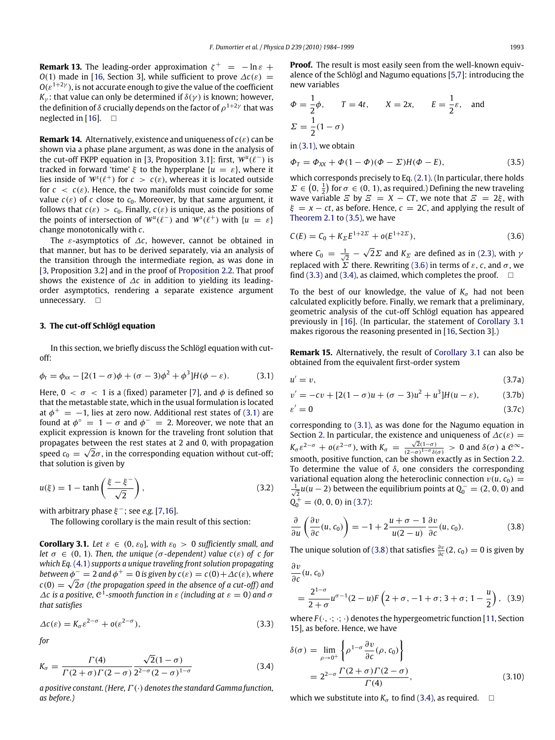**Remark 13.** The leading-order approximation  $\zeta^+ = -\ln \varepsilon + \zeta^+$ *O*(1) made in [\[16,](#page-15-15) Section 3], while sufficient to prove  $\Delta c(\varepsilon)$  =  $O(\varepsilon^{1+2\gamma})$ , is not accurate enough to give the value of the coefficient *K*<sub>γ</sub>: that value can only be determined if  $\delta(\gamma)$  is known; however, the definition of  $\delta$  crucially depends on the factor of  $\rho^{1+2\gamma}$  that was neglected in [\[16\]](#page-15-15).  $\Box$ 

**Remark 14.** Alternatively, existence and uniqueness of  $c(\varepsilon)$  can be shown via a phase plane argument, as was done in the analysis of the cut-off FKPP equation in [\[3,](#page-15-2) Proposition 3.1]: first,  $W^u(\ell^-)$  is tracked in forward 'time'  $\xi$  to the hyperplane  $\{u = \varepsilon\}$ , where it lies inside of  $W<sup>s</sup>(\ell^+)$  for  $c > c(\varepsilon)$ , whereas it is located outside for  $c < c(\varepsilon)$ . Hence, the two manifolds must coincide for some value  $c(\varepsilon)$  of *c* close to  $c_0$ . Moreover, by that same argument, it follows that  $c(\varepsilon) > c_0$ . Finally,  $c(\varepsilon)$  is unique, as the positions of the points of intersection of  $W^u(\ell^-)$  and  $W^s(\ell^+)$  with  $\{u = \varepsilon\}$ change monotonically with *c*.

The ε-asymptotics of ∆*c*, however, cannot be obtained in that manner, but has to be derived separately, via an analysis of the transition through the intermediate region, as was done in [\[3,](#page-15-2) Proposition 3.2] and in the proof of [Proposition 2.2.](#page-7-0) That proof shows the existence of ∆*c* in addition to yielding its leadingorder asymptotics, rendering a separate existence argument unnecessary.  $\square$ 

## <span id="page-9-0"></span>**3. The cut-off Schlögl equation**

In this section, we briefly discuss the Schlögl equation with cutoff:

<span id="page-9-8"></span>
$$
\phi_t = \phi_{xx} - [2(1-\sigma)\phi + (\sigma - 3)\phi^2 + \phi^3]H(\phi - \varepsilon).
$$
 (3.1)

Here,  $0 < \sigma < 1$  is a (fixed) parameter [\[7\]](#page-15-6), and  $\phi$  is defined so that the metastable state, which in the usual formulation is located at  $\phi^+=\,-1$ , lies at zero now. Additional rest states of [\(3.1\)](#page-9-1) are found at  $\phi^{\circ} = 1 - \sigma$  and  $\phi^{-} = 2$ . Moreover, we note that an explicit expression is known for the traveling front solution that propagates between the rest states at 2 and 0, with propagation √ speed  $c_0 = \sqrt{2}\sigma$ , in the corresponding equation without cut-off; that solution is given by

$$
u(\xi) = 1 - \tanh\left(\frac{\xi - \xi^{-}}{\sqrt{2}}\right),\tag{3.2}
$$

with arbitrary phase  $\xi^-$ ; see e.g. [\[7,](#page-15-6)[16\]](#page-15-15).

<span id="page-9-6"></span>The following corollary is the main result of this section:

**Corollary 3.1.** *Let*  $\varepsilon \in (0, \varepsilon_0]$ *, with*  $\varepsilon_0 > 0$  *sufficiently small, and let*  $\sigma \in (0, 1)$ *. Then, the unique* ( $\sigma$ -dependent) value  $c(\varepsilon)$  of c for *which Eq.* [\(4.1\)](#page-10-1) *supports a unique traveling front solution propagating between*  $\phi^- = 2$  *and*  $\phi^+ = 0$  *is given by*  $c(\varepsilon) = c(0) + \Delta c(\varepsilon)$ *, where*  $c(0)=\sqrt{2}\sigma$  (the propagation speed in the absence of a cut-off) and  $\Delta$ *c* is a positive,  $\mathcal{C}^1$ -smooth function in ε (including at  $\epsilon = 0$ ) and  $\sigma$ *that satisfies*

$$
\Delta c(\varepsilon) = K_{\sigma} \varepsilon^{2-\sigma} + o(\varepsilon^{2-\sigma}), \tag{3.3}
$$

*for*

$$
K_{\sigma} = \frac{\Gamma(4)}{\Gamma(2+\sigma)\Gamma(2-\sigma)} \frac{\sqrt{2}(1-\sigma)}{2^{2-\sigma}(2-\sigma)^{1-\sigma}}
$$
(3.4)

*a positive constant. (Here,*Γ (·) *denotes the standard Gamma function, as before.)*

**Proof.** The result is most easily seen from the well-known equivalence of the Schlögl and Nagumo equations [\[5,](#page-15-4)[7\]](#page-15-6): introducing the new variables

$$
\Phi = \frac{1}{2}\phi, \qquad T = 4t, \qquad X = 2x, \qquad E = \frac{1}{2}\varepsilon, \quad \text{and}
$$

$$
\Sigma = \frac{1}{2}(1 - \sigma)
$$

in [\(3.1\),](#page-9-1) we obtain

<span id="page-9-7"></span><span id="page-9-2"></span>
$$
\Phi_T = \Phi_{XX} + \Phi (1 - \Phi)(\Phi - \Sigma)H(\Phi - E), \qquad (3.5)
$$

which corresponds precisely to Eq. [\(2.1\).](#page-2-1) (In particular, there holds  $\Sigma \in (0, \frac{1}{2})$  for  $\sigma \in (0, 1)$ , as required.) Defining the new traveling wave variable  $\overline{E}$  by  $\overline{E} = X - CT$ , we note that  $\overline{E} = 2\xi$ , with  $\xi = x - ct$ , as before. Hence,  $c = 2C$ , and applying the result of [Theorem 2.1](#page-2-2) to [\(3.5\),](#page-9-2) we have

<span id="page-9-3"></span>
$$
C(E) = C_0 + K_{\Sigma} E^{1+2\Sigma} + o(E^{1+2\Sigma}),
$$
\n(3.6)

where  $C_0 = \frac{1}{\sqrt{2}}$  – √  $2\Sigma$  and  $K_{\Sigma}$  are defined as in [\(2.3\),](#page-2-5) with  $\gamma$ replaced with  $\Sigma$  there. Rewriting [\(3.6\)](#page-9-3) in terms of  $\varepsilon$ , c, and  $\sigma$ , we find [\(3.3\)](#page-9-4) and [\(3.4\),](#page-9-5) as claimed, which completes the proof.  $\square$ 

To the best of our knowledge, the value of  $K_{\sigma}$  had not been calculated explicitly before. Finally, we remark that a preliminary, geometric analysis of the cut-off Schlögl equation has appeared previously in [\[16\]](#page-15-15). (In particular, the statement of [Corollary 3.1](#page-9-6) makes rigorous the reasoning presented in [\[16,](#page-15-15) Section 3].)

**Remark 15.** Alternatively, the result of [Corollary 3.1](#page-9-6) can also be obtained from the equivalent first-order system

<span id="page-9-1"></span>
$$
u' = v,\tag{3.7a}
$$

$$
v' = -cv + [2(1 - \sigma)u + (\sigma - 3)u^2 + u^3]H(u - \varepsilon),
$$
 (3.7b)

$$
\varepsilon' = 0 \tag{3.7c}
$$

corresponding to [\(3.1\),](#page-9-1) as was done for the Nagumo equation in Section [2.](#page-2-0) In particular, the existence and uniqueness of  $\Delta c(\varepsilon)$  =  $K_{\sigma} \varepsilon^{2-\sigma}$  +  $o(\varepsilon^{2-\sigma})$ , with  $K_{\sigma} = \frac{\sqrt{2}(1-\sigma)}{(2-\sigma)^{1-\sigma}\delta(\sigma)} > 0$  and  $\delta(\sigma)$  a  $\mathcal{C}^{\infty}$ smooth, positive function, can be shown exactly as in Section [2.2.](#page-5-3) To determine the value of  $\delta$ , one considers the corresponding variational equation along the heteroclinic connection  $v(u, c_0)$  =  $\frac{1}{\sqrt{2}}$ *u*(*u* − 2) between the equilibrium points at  $Q_0$ <sup>−</sup> = (2, 0, 0) and  $Q_0^+$  = (0, 0, 0) in [\(3.7\):](#page-9-7)

<span id="page-9-9"></span>
$$
\frac{\partial}{\partial u}\left(\frac{\partial v}{\partial c}(u, c_0)\right) = -1 + 2\frac{u + \sigma - 1}{u(2 - u)}\frac{\partial v}{\partial c}(u, c_0).
$$
 (3.8)

The unique solution of [\(3.8\)](#page-9-8) that satisfies  $\frac{\partial v}{\partial c}(2, c_0) = 0$  is given by

$$
\frac{\partial v}{\partial c}(u, c_0)
$$
  
=  $\frac{2^{1-\sigma}}{2+\sigma}u^{\sigma-1}(2-u)F\left(2+\sigma, -1+\sigma; 3+\sigma; 1-\frac{u}{2}\right), (3.9)$ 

<span id="page-9-4"></span>where  $F(\cdot, \cdot; \cdot; \cdot)$  denotes the hypergeometric function [\[11,](#page-15-10) Section 15], as before. Hence, we have

<span id="page-9-5"></span>
$$
\delta(\sigma) = \lim_{\rho \to 0^+} \left\{ \rho^{1-\sigma} \frac{\partial v}{\partial c}(\rho, c_0) \right\}
$$
  
=  $2^{2-\sigma} \frac{\Gamma(2+\sigma)\Gamma(2-\sigma)}{\Gamma(4)},$  (3.10)

which we substitute into  $K_{\sigma}$  to find [\(3.4\),](#page-9-5) as required.  $\square$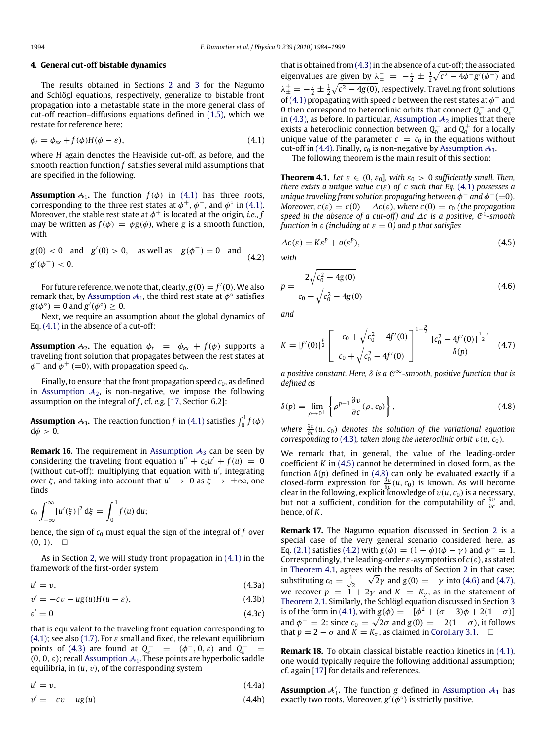## <span id="page-10-0"></span>**4. General cut-off bistable dynamics**

The results obtained in Sections [2](#page-2-0) and [3](#page-9-0) for the Nagumo and Schlögl equations, respectively, generalize to bistable front propagation into a metastable state in the more general class of cut-off reaction–diffusions equations defined in [\(1.5\),](#page-1-1) which we restate for reference here:

<span id="page-10-12"></span>
$$
\phi_t = \phi_{xx} + f(\phi)H(\phi - \varepsilon), \tag{4.1}
$$

where *H* again denotes the Heaviside cut-off, as before, and the smooth reaction function *f* satisfies several mild assumptions that are specified in the following.

<span id="page-10-2"></span>**Assumption**  $A_1$ . The function  $f(\phi)$  in [\(4.1\)](#page-10-1) has three roots, corresponding to the three rest states at  $\phi^+, \phi^-,$  and  $\phi^\circ$  in [\(4.1\).](#page-10-1) Moreover, the stable rest state at  $\phi^+$  is located at the origin, *i.e., f* may be written as  $f(\phi) = \phi g(\phi)$ , where *g* is a smooth function, with

 $g(0) < 0$  and  $g'(0) > 0$ , as well as  $g(\phi^-) = 0$  and  $g'(\phi^-) < 0.$ (4.2)

For future reference, we note that, clearly,  $g(0) = f'(0)$ . We also remark that, by [Assumption](#page-10-2)  $\mathcal{A}_1$ , the third rest state at  $\phi^\circ$  satisfies  $g(\phi^\circ) = 0$  and  $g'(\phi^\circ) \geq 0$ .

Next, we require an assumption about the global dynamics of Eq. [\(4.1\)](#page-10-1) in the absence of a cut-off:

<span id="page-10-3"></span>**Assumption**  $A_2$ . The equation  $\phi_t = \phi_{xx} + f(\phi)$  supports a traveling front solution that propagates between the rest states at  $\phi^-$  and  $\phi^+$  (=0), with propagation speed  $c_0$ .

Finally, to ensure that the front propagation speed  $c_0$ , as defined in [Assumption](#page-10-3)  $A_2$ , is non-negative, we impose the following assumption on the integral of *f* , cf. *e.g.* [\[17,](#page-15-16) Section 6.2]:

<span id="page-10-4"></span>**Assumption**  $\mathcal{A}_3$ . The reaction function *f* in [\(4.1\)](#page-10-1) satisfies  $\int_0^1 f(\phi)$  $d\phi > 0$ .

**Remark 16.** The requirement in [Assumption](#page-10-4)  $A_3$  can be seen by considering the traveling front equation  $u'' + c_0 u' + f(u) = 0$ (without cut-off): multiplying that equation with  $u'$ , integrating over  $\xi$ , and taking into account that  $u' \to 0$  as  $\xi \to \pm \infty$ , one finds

$$
c_0 \int_{-\infty}^{\infty} [u'(\xi)]^2 \, d\xi = \int_0^1 f(u) \, du;
$$

hence, the sign of  $c_0$  must equal the sign of the integral of  $f$  over  $(0, 1)$ .  $\Box$ 

As in Section [2,](#page-2-0) we will study front propagation in [\(4.1\)](#page-10-1) in the framework of the first-order system

$$
u' = v,\tag{4.3a}
$$

<span id="page-10-5"></span>
$$
v' = -cv - ug(u)H(u - \varepsilon), \tag{4.3b}
$$

$$
\varepsilon' = 0 \tag{4.3c}
$$

that is equivalent to the traveling front equation corresponding to [\(4.1\);](#page-10-1) see also [\(1.7\).](#page-1-3) For  $\varepsilon$  small and fixed, the relevant equilibrium points of [\(4.3\)](#page-10-5) are found at  $Q_{\varepsilon}^-$  =  $(\phi^-, 0, \varepsilon)$  and  $Q_{\varepsilon}^+$  =  $(0, 0, \varepsilon)$ ; recall [Assumption](#page-10-2)  $\mathcal{A}_1$ . These points are hyperbolic saddle equilibria, in  $(u, v)$ , of the corresponding system

$$
u' = v,\t\t(4.4a)
$$

<span id="page-10-6"></span>
$$
v' = -cv - ug(u) \tag{4.4b}
$$

that is obtained from  $(4.3)$  in the absence of a cut-off; the associated eigenvalues are given by  $\lambda_{\pm}^- = -\frac{c}{2} \pm \frac{1}{2} \sqrt{c^2 - 4\phi^- g'(\phi^-)}$  and  $\lambda_{\pm}^{\pm}=-\frac{c}{2}\pm\frac{1}{2}\sqrt{c^2-4g(0)}$ , respectively. Traveling front solutions of [\(4.1\)](#page-10-1) propagating with speed *c* between the rest states at  $\phi^-$  and 0 then correspond to heteroclinic orbits that connect  $Q_{\varepsilon}^-$  and  $Q_{\varepsilon}^+$ in [\(4.3\),](#page-10-5) as before. In particular, [Assumption](#page-10-3)  $A_2$  implies that there exists a heteroclinic connection between  $Q_0^-$  and  $Q_0^+$  for a locally unique value of the parameter  $c = c_0$  in the equations without cut-off in [\(4.4\).](#page-10-6) Finally,  $c_0$  is non-negative by [Assumption](#page-10-4)  $A_3$ .

<span id="page-10-9"></span><span id="page-10-1"></span>The following theorem is the main result of this section:

**Theorem 4.1.** *Let*  $\varepsilon \in (0, \varepsilon_0]$ , with  $\varepsilon_0 > 0$  sufficiently small. Then, *there exists a unique value*  $c(\varepsilon)$  *of c such that Eq.* [\(4.1\)](#page-10-1) *possesses a unique traveling front solution propagating between*  $\phi^-$  *and*  $\phi^+$  (=0). *Moreover,*  $c(\varepsilon) = c(0) + \Delta c(\varepsilon)$ *, where*  $c(0) = c_0$  *(the propagation*) *speed in the absence of a cut-off) and* ∆*c is a positive,* C 1 *-smooth function in*  $\varepsilon$  *(including at*  $\varepsilon = 0$ *) and p that satisfies* 

<span id="page-10-14"></span><span id="page-10-8"></span><span id="page-10-7"></span>
$$
\Delta c(\varepsilon) = K\varepsilon^p + o(\varepsilon^p),\tag{4.5}
$$

*with*

<span id="page-10-10"></span>
$$
p = \frac{2\sqrt{c_0^2 - 4g(0)}}{c_0 + \sqrt{c_0^2 - 4g(0)}}
$$
(4.6)

*and*

<span id="page-10-11"></span>
$$
K = |f'(0)|^{\frac{p}{2}} \left[ \frac{-c_0 + \sqrt{c_0^2 - 4f'(0)}}{c_0 + \sqrt{c_0^2 - 4f'(0)}} \right]^{1-\frac{p}{2}} \frac{\left[c_0^2 - 4f'(0)\right]^{\frac{1-p}{2}}}{\delta(p)} \quad (4.7)
$$

*a positive constant. Here,* δ *is a* C <sup>∞</sup>*-smooth, positive function that is defined as*

$$
\delta(p) = \lim_{\rho \to 0^+} \left\{ \rho^{p-1} \frac{\partial v}{\partial c}(\rho, c_0) \right\},\tag{4.8}
$$

*where*  $\frac{\partial v}{\partial c}(u, c_0)$  *denotes the solution of the variational equation corresponding to* [\(4.3\)](#page-10-5), taken along the heteroclinic orbit  $v(u, c_0)$ .

We remark that, in general, the value of the leading-order coefficient *K* in [\(4.5\)](#page-10-7) cannot be determined in closed form, as the function  $\delta(p)$  defined in [\(4.8\)](#page-10-5) can only be evaluated exactly if a closed-form expression for  $\frac{\partial v}{\partial c}(u, c_0)$  is known. As will become clear in the following, explicit knowledge of  $v(u, c_0)$  is a necessary, but not a sufficient, condition for the computability of  $\frac{\partial v}{\partial c}$  and, hence, of *K*.

**Remark 17.** The Nagumo equation discussed in Section [2](#page-2-0) is a special case of the very general scenario considered here, as Eq. [\(2.1\)](#page-2-1) satisfies [\(4.2\)](#page-10-8) with  $g(\phi) = (1 - \phi)(\phi - \gamma)$  and  $\phi^{-} = 1$ . Correspondingly, the leading-order  $\varepsilon$ -asymptotics of  $c(\varepsilon)$ , as stated in [Theorem 4.1,](#page-10-9) agrees with the results of Section [2](#page-2-0) in that case: substituting  $c_0 = \frac{1}{\sqrt{2}}$  – ∕∨l  $\overline{2}\gamma$  and  $g(0)=-\gamma$  into [\(4.6\)](#page-10-10) and [\(4.7\),](#page-10-11) we recover  $p = 1 + 2\gamma$  and  $K = K_{\gamma}$ , as in the statement of [Theorem 2.1.](#page-2-2) Similarly, the Schlögl equation discussed in Section [3](#page-9-0) is of the form in [\(4.1\),](#page-10-1) with  $g(\phi) = -[\phi^2 + (\sigma - 3)\phi + 2(1 - \sigma)]$ and  $\phi^- = 2$ : since  $c_0 = \sqrt{2}\sigma$  and  $g(0) = -2(1 - \sigma)$ , it follows that  $p = 2 - \sigma$  and  $K = K_{\sigma}$ , as claimed in [Corollary 3.1.](#page-9-6)  $\square$ 

<span id="page-10-15"></span>**Remark 18.** To obtain classical bistable reaction kinetics in [\(4.1\),](#page-10-1) one would typically require the following additional assumption; cf. again [\[17\]](#page-15-16) for details and references.

<span id="page-10-13"></span>**[Assumption](#page-10-2)**  $A'_1$ . The function *g* defined in Assumption  $A_1$  has exactly two roots. Moreover,  $g'(\phi^\circ)$  is strictly positive.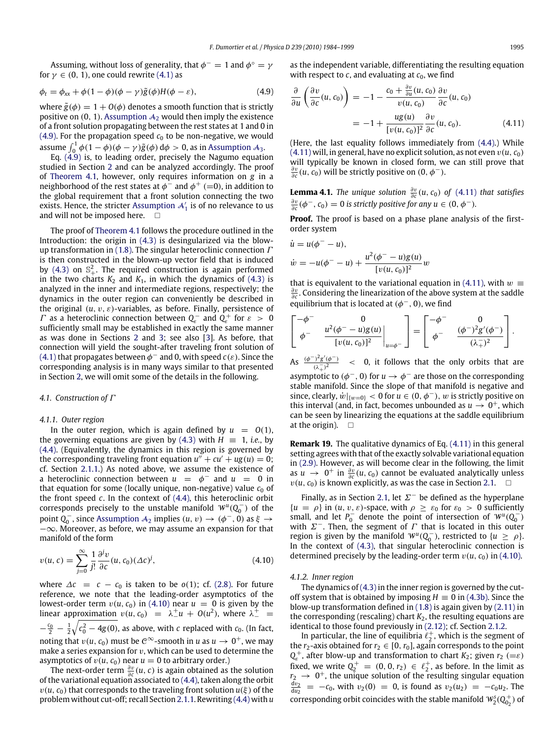Assuming, without loss of generality, that  $\phi^- = 1$  and  $\phi^\circ = \gamma$ for  $\gamma \in (0, 1)$ , one could rewrite [\(4.1\)](#page-10-1) as

$$
\phi_t = \phi_{xx} + \phi(1 - \phi)(\phi - \gamma)\tilde{g}(\phi)H(\phi - \varepsilon), \tag{4.9}
$$

where  $\tilde{g}(\phi) = 1 + O(\phi)$  denotes a smooth function that is strictly positive on  $(0, 1)$ . [Assumption](#page-10-3)  $\mathcal{A}_2$  would then imply the existence of a front solution propagating between the rest states at 1 and 0 in [\(4.9\).](#page-10-12) For the propagation speed  $c_0$  to be non-negative, we would assume  $\int_0^1 \phi(1-\phi)(\phi-\gamma)\tilde{g}(\phi) d\phi > 0$ , as in [Assumption](#page-10-4) A<sub>3</sub>.

Eq. [\(4.9\)](#page-10-12) is, to leading order, precisely the Nagumo equation studied in Section [2](#page-2-0) and can be analyzed accordingly. The proof of [Theorem 4.1,](#page-10-9) however, only requires information on *g* in a neighborhood of the rest states at  $\phi^-$  and  $\phi^+$  (=0), in addition to the global requirement that a front solution connecting the two exists. Hence, the stricter [Assumption](#page-10-13)  ${\cal A}_1^{\prime}$  is of no relevance to us and will not be imposed here.  $\square$ 

The proof of [Theorem 4.1](#page-10-9) follows the procedure outlined in the Introduction: the origin in [\(4.3\)](#page-10-5) is desingularized via the blow-up transformation in [\(1.8\).](#page-1-4) The singular heteroclinic connection  $\Gamma$ is then constructed in the blown-up vector field that is induced by [\(4.3\)](#page-10-5) on  $\mathbb{S}^2_+$ . The required construction is again performed in the two charts  $K_2$  and  $K_1$ , in which the dynamics of [\(4.3\)](#page-10-5) is analyzed in the inner and intermediate regions, respectively; the dynamics in the outer region can conveniently be described in the original  $(u, v, \varepsilon)$ -variables, as before. Finally, persistence of *Γ* as a heteroclinic connection between  $Q_c^-$  and  $Q_c^+$  for  $\varepsilon > 0$ sufficiently small may be established in exactly the same manner as was done in Sections [2](#page-2-0) and [3;](#page-9-0) see also [\[3\]](#page-15-2). As before, that connection will yield the sought-after traveling front solution of [\(4.1\)](#page-10-1) that propagates between  $\phi^-$  and 0, with speed  $c(\varepsilon)$ . Since the corresponding analysis is in many ways similar to that presented in Section [2,](#page-2-0) we will omit some of the details in the following.

## *4.1. Construction of* Γ

## <span id="page-11-0"></span>*4.1.1. Outer region*

In the outer region, which is again defined by  $u = O(1)$ , the governing equations are given by [\(4.3\)](#page-10-5) with  $H \equiv 1$ , *i.e.*, by [\(4.4\).](#page-10-6) (Equivalently, the dynamics in this region is governed by the corresponding traveling front equation  $u'' + cu' + ug(u) = 0$ ; cf. Section [2.1.1.](#page-3-9)) As noted above, we assume the existence of a heteroclinic connection between  $u = \phi^-$  and  $u = 0$  in that equation for some (locally unique, non-negative) value  $c_0$  of the front speed *c*. In the context of [\(4.4\),](#page-10-6) this heteroclinic orbit corresponds precisely to the unstable manifold  $W^u(Q_0^-)$  of the point  $Q_0^-$ , since [Assumption](#page-10-3)  $\mathcal{A}_2$  implies  $(u, v) \to (\phi^-, 0)$  as  $\xi \to$ −∞. Moreover, as before, we may assume an expansion for that manifold of the form

$$
v(u, c) = \sum_{j=0}^{\infty} \frac{1}{j!} \frac{\partial^j v}{\partial c}(u, c_0) (\Delta c)^j,
$$
\n(4.10)

where  $\Delta c = c - c_0$  is taken to be *o*(1); cf. [\(2.8\).](#page-3-1) For future reference, we note that the leading-order asymptotics of the lowest-order term  $v(u, c_0)$  in [\(4.10\)](#page-10-6) near  $u = 0$  is given by the linear approximation  $v(u, c_0) = \lambda^+ u + O(u^2)$ , where  $\lambda^+$  =  $-\frac{c_0}{2}-\frac{1}{2}\sqrt{c_0^2-4g(0)}$ , as above, with *c* replaced with *c*<sub>0</sub>. (In fact, noting that  $v(u, c_0)$  must be  $\mathcal{C}^{\infty}$ -smooth in  $u$  as  $u \to 0^+$ , we may make a series expansion for  $v$ , which can be used to determine the asymptotics of  $v(u, c_0)$  near  $u = 0$  to arbitrary order.)

The next-order term  $\frac{\partial v}{\partial c}(u, c)$  is again obtained as the solution of the variational equation associated to [\(4.4\),](#page-10-6) taken along the orbit  $v(u, c_0)$  that corresponds to the traveling front solution  $u(\xi)$  of the problem without cut-off; recall Section [2.1.1.](#page-3-9) Rewriting [\(4.4\)](#page-10-6) with *u* as the independent variable, differentiating the resulting equation with respect to  $c$ , and evaluating at  $c_0$ , we find

$$
\frac{\partial}{\partial u} \left( \frac{\partial v}{\partial c} (u, c_0) \right) = -1 - \frac{c_0 + \frac{\partial v}{\partial u} (u, c_0)}{v(u, c_0)} \frac{\partial v}{\partial c} (u, c_0)
$$
\n
$$
= -1 + \frac{u g(u)}{[v(u, c_0)]^2} \frac{\partial v}{\partial c} (u, c_0).
$$
\n(4.11)

(Here, the last equality follows immediately from [\(4.4\).](#page-10-6)) While  $(4.11)$  will, in general, have no explicit solution, as not even  $v(u, c_0)$ will typically be known in closed form, we can still prove that  $\frac{\partial v}{\partial c}(u, c_0)$  will be strictly positive on  $(0, \phi^-)$ .

<span id="page-11-1"></span>**Lemma 4.1.** *The unique solution*  $\frac{\partial v}{\partial c}(u, c_0)$  *of* [\(4.11\)](#page-10-14) *that satisfies*  $\frac{\partial v}{\partial c}(\phi^-, c_0) = 0$  is strictly positive for any  $u \in (0, \phi^-)$ .

**Proof.** The proof is based on a phase plane analysis of the firstorder system

$$
\dot{u} = u(\phi^{-} - u),
$$
  

$$
\dot{w} = -u(\phi^{-} - u) + \frac{u^2(\phi^{-} - u)g(u)}{[v(u, c_0)]^2}w
$$

that is equivalent to the variational equation in [\(4.11\),](#page-10-14) with  $w \equiv$  $\frac{\partial v}{\partial c}$ . Considering the linearization of the above system at the saddle equilibrium that is located at  $(\phi^-, 0)$ , we find

$$
\begin{bmatrix} -\phi^- & 0 \\ \phi^- & \frac{u^2(\phi^- - u)g(u)}{[v(u, c_0)]^2} \bigg|_{u = \phi^-} \end{bmatrix} = \begin{bmatrix} -\phi^- & 0 \\ \phi^- & \frac{(\phi^-)^2 g'(\phi^-)}{(\lambda_+^2)^2} \end{bmatrix}.
$$

As  $\frac{(\phi^-)^2 g'(\phi^-)}{g^-g^2}$  $\frac{f^2 g^2(\phi)}{(\lambda_+^2)^2}$  < 0, it follows that the only orbits that are asymptotic to  $(\phi^-, 0)$  for  $u \to \phi^-$  are those on the corresponding stable manifold. Since the slope of that manifold is negative and since, clearly,  $\dot{w}|_{\{w=0\}} < 0$  for  $u \in (0, \phi^-)$ , w is strictly positive on this interval (and, in fact, becomes unbounded as  $u \rightarrow 0^+$ , which can be seen by linearizing the equations at the saddle equilibrium at the origin).  $\Box$ 

**Remark 19.** The qualitative dynamics of Eq. [\(4.11\)](#page-10-14) in this general setting agrees with that of the exactly solvable variational equation in [\(2.9\).](#page-3-3) However, as will become clear in the following, the limit as *u*  $\rightarrow$  0<sup>+</sup> in  $\frac{\partial v}{\partial c}(u, c_0)$  cannot be evaluated analytically unless  $v(u, c_0)$  is known explicitly, as was the case in Section [2.1.](#page-3-8)  $\Box$ 

Finally, as in Section [2.1,](#page-3-8) let  $\Sigma^-$  be defined as the hyperplane  ${u = \rho}$  in  $(u, v, \varepsilon)$ -space, with  $\rho \geq \varepsilon_0$  for  $\varepsilon_0 > 0$  sufficiently small, and let  $P_0^-$  denote the point of intersection of  $W^u(Q_0^-)$ with  $\Sigma^-$ . Then, the segment of  $\Gamma$  that is located in this outer region is given by the manifold  $W^u(Q_0^-)$ , restricted to  $\{u \ge \rho\}$ . In the context of [\(4.3\),](#page-10-5) that singular heteroclinic connection is determined precisely by the leading-order term  $v(u, c_0)$  in [\(4.10\).](#page-10-6)

#### *4.1.2. Inner region*

The dynamics of [\(4.3\)](#page-10-5) in the inner region is governed by the cutoff system that is obtained by imposing  $H \equiv 0$  in [\(4.3b\).](#page-10-15) Since the blow-up transformation defined in [\(1.8\)](#page-1-4) is again given by [\(2.11\)](#page-3-6) in the corresponding (rescaling) chart  $K_2$ , the resulting equations are identical to those found previously in [\(2.12\);](#page-3-7) cf. Section [2.1.2.](#page-3-11)

In particular, the line of equilibria  $\ell_2^+$ , which is the segment of the  $r_2$ -axis obtained for  $r_2 \in [0, r_0]$ , again corresponds to the point  $Q_e^+$ , after blow-up and transformation to chart *K*<sub>2</sub>; given  $r_2$  (= $\varepsilon$ ) fixed, we write  $Q_2^+ = (0, 0, r_2) \in \ell_2^+$ , as before. In the limit as  $r_2 \rightarrow 0^+$ , the unique solution of the resulting singular equation  $\frac{dv_2}{du_2}$  =  $-c_0$ , with  $v_2(0)$  = 0, is found as  $v_2(u_2)$  =  $-c_0u_2$ . The corresponding orbit coincides with the stable manifold  $W_2^s(Q_0^+)$  $_{0}^{+}$ ) of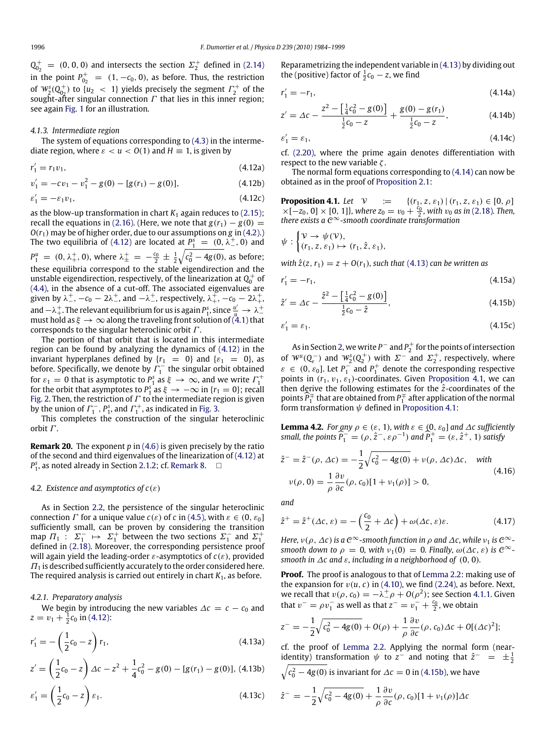$Q_{0}^{+}$  $\sigma_{0_2}^+$  = (0, 0, 0) and intersects the section  $\Sigma_2^+$  defined in [\(2.14\)](#page-3-12) in the point  $P_{0}^{+}$  $\begin{array}{rcl} 0_2^+ & = & (1, -c_0, 0), \text{ as before. Thus, the restriction} \end{array}$ of  $W_2^s(Q_{0_2}^+)$  to  $\{u_2 \ < \ 1\}$  yields precisely the segment  $\Gamma_2^+$  of the so  $m_2(Q_0)$  to  $\mu_2 < 1$ , yields preeflectly the segment  $T_2$  of the sought-after singular connection  $\Gamma$  that lies in this inner region; see again [Fig. 1](#page-4-0) for an illustration.

## *4.1.3. Intermediate region*

The system of equations corresponding to [\(4.3\)](#page-10-5) in the intermediate region, where  $\varepsilon < u < O(1)$  and  $H \equiv 1$ , is given by

$$
r_1' = r_1 v_1,\tag{4.12a}
$$

<span id="page-12-0"></span> $v'_1 = -cv_1 - v_1^2 - g(0) - [g(r_1) - g(0)],$  (4.12b)

$$
\varepsilon_1' = -\varepsilon_1 v_1,\tag{4.12c}
$$

as the blow-up transformation in chart  $K_1$  again reduces to [\(2.15\);](#page-4-7) recall the equations in [\(2.16\).](#page-4-1) (Here, we note that  $g(r_1) - g(0) =$  $O(r_1)$  may be of higher order, due to our assumptions on *g* in [\(4.2\).](#page-10-8)) The two equilibria of [\(4.12\)](#page-12-0) are located at  $P_1^s = (0, \lambda^{\pm}, 0)$  and  $P_1^u = (0, \lambda_+^+, 0)$ , where  $\lambda_{\pm}^+ = -\frac{c_0}{2} \pm \frac{1}{2} \sqrt{c_0^2 - 4g(0)}$ , as before; these equilibria correspond to the stable eigendirection and the unstable eigendirection, respectively, of the linearization at  $Q_0^+$  of [\(4.4\),](#page-10-6) in the absence of a cut-off. The associated eigenvalues are given by  $\lambda^+_-$ ,  $-c_0-2\lambda^+_-$ , and  $-\lambda^+_-$ , respectively,  $\lambda^+_+$ ,  $-c_0-2\lambda^+_+$ , and  $-\lambda_+^+$ . The relevant equilibrium for us is again  $P_1^s$ , since  $\frac{u'}{u} \to \lambda_-^+$ <br>must hold as  $\xi \to \infty$  along the traveling front solution of [\(4.1\)](#page-10-1) that corresponds to the singular heteroclinic orbit  $\Gamma$ .

The portion of that orbit that is located in this intermediate region can be found by analyzing the dynamics of [\(4.12\)](#page-12-0) in the invariant hyperplanes defined by  $\{r_1 = 0\}$  and  $\{\varepsilon_1 = 0\}$ , as before. Specifically, we denote by  $\overline{F_1}^-$  the singular orbit obtained for  $\varepsilon_1 = 0$  that is asymptotic to  $P_1^s$  as  $\xi \to \infty$ , and we write  $\Gamma_1^+$  for the orbit that asymptotes to  $P_1^s$  as  $\xi \to -\infty$  in  $\{r_1 = 0\}$ ; recall [Fig. 2.](#page-4-4) Then, the restriction of  $\varGamma$  to the intermediate region is given by the union of  $\varGamma_1^-, \varGamma_1^s$ , and  $\varGamma_1^+$ , as indicated in [Fig. 3.](#page-5-0)

This completes the construction of the singular heteroclinic orbit  $\Gamma$ .

**Remark 20.** The exponent *p* in [\(4.6\)](#page-10-10) is given precisely by the ratio of the second and third eigenvalues of the linearization of [\(4.12\)](#page-12-0) at  $P_1^s$ , as noted already in Section [2.1.2;](#page-3-11) cf. [Remark 8.](#page-4-8)  $\Box$ 

## *4.2. Existence and asymptotics of c*(ε)

As in Section [2.2,](#page-5-3) the persistence of the singular heteroclinic connection  $\Gamma$  for a unique value  $c(\varepsilon)$  of  $c$  in [\(4.5\),](#page-10-7) with  $\varepsilon \in (0, \varepsilon_0]$ sufficiently small, can be proven by considering the transition map  $\Pi_1$ :  $\Sigma_1^- \mapsto \Sigma_1^+$  between the two sections  $\Sigma_1^-$  and  $\Sigma_1^+$ defined in [\(2.18\).](#page-5-1) Moreover, the corresponding persistence proof will again yield the leading-order ε-asymptotics of *c*(ε), provided  $\Pi_1$  is described sufficiently accurately to the order considered here. The required analysis is carried out entirely in chart  $K_1$ , as before.

## *4.2.1. Preparatory analysis*

We begin by introducing the new variables  $\Delta c = c - c_0$  and  $z = v_1 + \frac{1}{2}c_0$  in [\(4.12\):](#page-12-0)

<span id="page-12-1"></span>
$$
r_1' = -\left(\frac{1}{2}c_0 - z\right)r_1,\tag{4.13a}
$$

$$
z' = \left(\frac{1}{2}c_0 - z\right)\Delta c - z^2 + \frac{1}{4}c_0^2 - g(0) - [g(r_1) - g(0)], \ (4.13b)
$$

$$
\varepsilon'_1 = \left(\frac{1}{2}c_0 - z\right)\varepsilon_1.
$$
 (4.13c)

Reparametrizing the independent variable in [\(4.13\)](#page-12-1) by dividing out the (positive) factor of  $\frac{1}{2}c_0 - z$ , we find

<span id="page-12-2"></span>
$$
r_1' = -r_1,\t\t(4.14a)
$$

$$
z' = \Delta c - \frac{z^2 - \left[\frac{1}{4}c_0^2 - g(0)\right]}{\frac{1}{2}c_0 - z} + \frac{g(0) - g(r_1)}{\frac{1}{2}c_0 - z},
$$
(4.14b)

$$
\varepsilon_1' = \varepsilon_1,\tag{4.14c}
$$

cf. [\(2.20\),](#page-6-1) where the prime again denotes differentiation with respect to the new variable  $\zeta$ .

The normal form equations corresponding to [\(4.14\)](#page-12-2) can now be obtained as in the proof of [Proposition 2.1:](#page-6-3)

<span id="page-12-3"></span>**Proposition 4.1.** Let  $V := \{(r_1, z, \varepsilon_1) | (r_1, z, \varepsilon_1) \in [0, \rho]$  $\times[-z_0, 0] \times [0, 1]$ , where  $z_0 = v_0 + \frac{c_0}{2}$ , with  $v_0$  as in [\(2.18\)](#page-5-1). Then, there exists a  $\mathcal{C}^{\infty}$ -smooth coordinate transformation

$$
\psi : \begin{cases} \mathcal{V} \to \psi(\mathcal{V}), \\ (r_1, z, \varepsilon_1) \mapsto (r_1, \hat{z}, \varepsilon_1), \end{cases}
$$

*with*  $\hat{z}(z, r_1) = z + O(r_1)$ *, such that* [\(4.13\)](#page-12-1) *can be written as* 

$$
r_1' = -r_1,\t\t(4.15a)
$$

<span id="page-12-4"></span>
$$
\hat{z}' = \Delta c - \frac{\hat{z}^2 - \left[\frac{1}{4}c_0^2 - g(0)\right]}{\frac{1}{2}c_0 - \hat{z}},\tag{4.15b}
$$

$$
\varepsilon_1' = \varepsilon_1. \tag{4.15c}
$$

As in Section [2,](#page-2-0) we write  $P^-$  and  $P_2^+$  for the points of intersection of  $W^u(Q^-_\varepsilon)$  and  $W^s_2(Q^+_2)$  with  $\Sigma^-$  and  $\Sigma^+_2$ , respectively, where  $\varepsilon \in (0, \varepsilon_0]$ . Let  $P_1^-$  and  $P_1^+$  denote the corresponding respective points in  $(r_1, v_1, \varepsilon_1)$ -coordinates. Given [Proposition 4.1,](#page-12-3) we can then derive the following estimates for the  $\hat{z}$ -coordinates of the points  $\widehat{P}_1^{\pm}$  that are obtained from  $P_1^{\mp}$  after application of the normal form transformation  $\psi$  defined in [Proposition 4.1:](#page-12-3)

**Lemma 4.2.** *For any*  $\rho \in (\varepsilon, 1)$ *, with*  $\varepsilon \in (0, \varepsilon_0]$  *and*  $\Delta c$  *sufficiently small, the points*  $\widehat{P}_1^- = (\rho, \hat{z}^-, \varepsilon \rho^{-1})$  *and*  $\widehat{P}_1^+ = (\varepsilon, \hat{z}^+, 1)$  *satisfy* 

<span id="page-12-5"></span>
$$
\hat{z}^- = \hat{z}^-(\rho, \Delta c) = -\frac{1}{2}\sqrt{c_0^2 - 4g(0)} + \nu(\rho, \Delta c)\Delta c, \quad \text{with}
$$
  

$$
\nu(\rho, 0) = \frac{1}{\rho} \frac{\partial \nu}{\partial c}(\rho, c_0)[1 + \nu_1(\rho)] > 0,
$$
 (4.16)

<span id="page-12-6"></span>*and*

$$
\hat{z}^+ = \hat{z}^+ (\Delta \mathbf{c}, \varepsilon) = -\left(\frac{c_0}{2} + \Delta \mathbf{c}\right) + \omega(\Delta \mathbf{c}, \varepsilon)\varepsilon.
$$
 (4.17)

*Here,*  $\nu(\rho, \Delta c)$  *is a*  $C^{\infty}$ -smooth function in  $\rho$  and  $\Delta c$ , while  $\nu_1$  *is*  $C^{\infty}$ *smooth down to*  $\rho = 0$ , *with*  $\nu_1(0) = 0$ . *Finally,*  $\omega(\Delta c, \varepsilon)$  *is*  $C^{\infty}$ *smooth in*  $\Delta c$  *and*  $\varepsilon$ *, including in a neighborhood of* (0, 0)*.* 

**Proof.** The proof is analogous to that of [Lemma 2.2:](#page-6-7) making use of the expansion for  $v(u, c)$  in [\(4.10\),](#page-10-6) we find [\(2.24\),](#page-6-10) as before. Next, we recall that  $v(\rho, c_0) = -\lambda^+_- \rho + O(\rho^2)$ ; see Section [4.1.1.](#page-11-0) Given that  $v^- = \rho v_1^-$  as well as that  $z^- = v_1^- + \frac{c_0}{2}$ , we obtain

$$
z^{-} = -\frac{1}{2}\sqrt{c_0^2 - 4g(0)} + O(\rho) + \frac{1}{\rho}\frac{\partial v}{\partial c}(\rho, c_0)\Delta c + O[(\Delta c)^2];
$$

cf. the proof of [Lemma 2.2.](#page-6-7) Applying the normal form (nearidentity) transformation  $\psi$  to  $\overline{z}$  and noting that  $\hat{z}^- = \pm \frac{1}{2}$  $\sqrt{c_0^2 - 4g(0)}$  is invariant for  $\Delta c = 0$  in [\(4.15b\),](#page-12-4) we have

$$
\hat{z}^- = -\frac{1}{2}\sqrt{c_0^2 - 4g(0)} + \frac{1}{\rho}\frac{\partial v}{\partial c}(\rho, c_0)[1 + v_1(\rho)]\Delta c
$$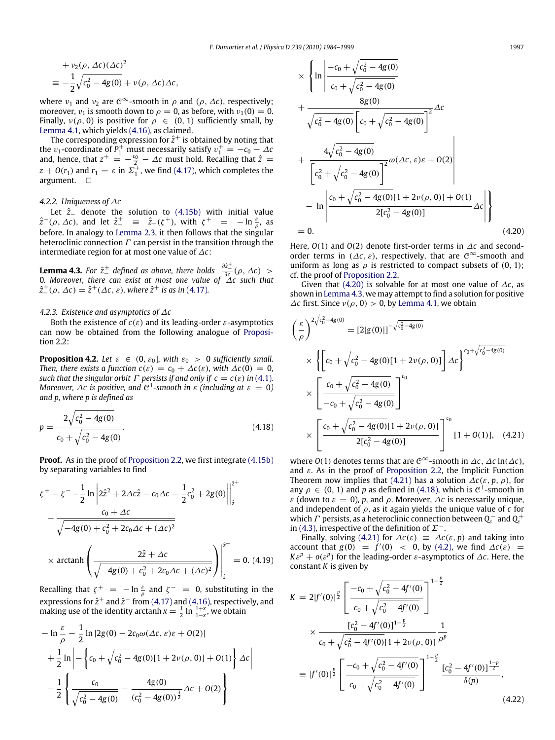+ 
$$
v_2(\rho, \Delta c)(\Delta c)^2
$$
  
\n
$$
\equiv -\frac{1}{2}\sqrt{c_0^2 - 4g(0)} + v(\rho, \Delta c)\Delta c,
$$

where  $v_1$  and  $v_2$  are  $\mathcal{C}^{\infty}$ -smooth in  $\rho$  and  $(\rho, \Delta c)$ , respectively; moreover,  $v_1$  is smooth down to  $\rho = 0$ , as before, with  $v_1(0) = 0$ . Finally,  $v(\rho, 0)$  is positive for  $\rho \in (0, 1)$  sufficiently small, by [Lemma 4.1,](#page-11-1) which yields [\(4.16\),](#page-12-5) as claimed.

The corresponding expression for  $\hat{z}^+$  is obtained by noting that the *v*<sub>1</sub>-coordinate of  $P_1^+$  must necessarily satisfy  $v_1^+ = -c_0 - \Delta c$ and, hence, that  $z^+ = -\frac{c_0}{2} - \Delta c$  must hold. Recalling that  $\hat{z} =$  $z + O(r_1)$  and  $r_1 = \varepsilon$  in  $\Sigma_1^+$ , we find [\(4.17\),](#page-12-6) which completes the argument.  $\Box$ 

## *4.2.2. Uniqueness of* ∆*c*

Let *z*ˆ<sup>−</sup> denote the solution to [\(4.15b\)](#page-12-4) with initial value  $\hat{z}^-(\rho, \Delta c)$ , and let  $\hat{z}^+$  =  $\hat{z}_-(\zeta^+)$ , with  $\zeta^+$  =  $-\ln \frac{\varepsilon}{\rho}$ , as before. In analogy to [Lemma 2.3,](#page-7-1) it then follows that the singular heteroclinic connection  $\Gamma$  can persist in the transition through the intermediate region for at most one value of ∆*c*:

<span id="page-13-1"></span>**Lemma 4.3.** *For*  $\hat{z}^+$  *defined as above, there holds*  $\frac{\partial \hat{z}^+}{\partial c}(\rho, \Delta c)$  > 0*. Moreover, there can exist at most one value of* ∆*c such that*  $\hat{z}^+_{-}(\rho, \Delta c) = \hat{z}^+(\Delta c, \varepsilon)$ , where  $\hat{z}^+$  is as in [\(4.17\)](#page-12-6).

## *4.2.3. Existence and asymptotics of* ∆*c*

Both the existence of  $c(\varepsilon)$  and its leading-order  $\varepsilon$ -asymptotics [c](#page-7-0)an now be obtained from the following analogue of [Proposi](#page-7-0)[tion 2.2:](#page-7-0)

**Proposition 4.2.** Let  $\varepsilon \in (0, \varepsilon_0]$ , with  $\varepsilon_0 > 0$  sufficiently small. *Then, there exists a function*  $c(\varepsilon) = c_0 + \Delta c(\varepsilon)$ *, with*  $\Delta c(0) = 0$ *, such that the singular orbit*  $\Gamma$  *persists if and only if*  $c = c(\varepsilon)$  *in* [\(4.1\)](#page-10-1)*. Moreover,*  $\Delta c$  *is positive, and*  $C^1$ *-smooth in*  $\varepsilon$  *(including at*  $\varepsilon = 0$ *) and p, where p is defined as*

$$
p = \frac{2\sqrt{c_0^2 - 4g(0)}}{c_0 + \sqrt{c_0^2 - 4g(0)}}.
$$
\n(4.18)

**Proof.** As in the proof of [Proposition 2.2,](#page-7-0) we first integrate [\(4.15b\)](#page-12-4) by separating variables to find

$$
\zeta^{+} - \zeta^{-} - \frac{1}{2} \ln \left| 2\hat{z}^{2} + 2\Delta c \hat{z} - c_{0} \Delta c - \frac{1}{2} c_{0}^{2} + 2g(0) \right|_{\hat{z}^{-}}^{2^{+}}
$$

$$
- \frac{c_{0} + \Delta c}{\sqrt{-4g(0) + c_{0}^{2} + 2c_{0} \Delta c + (\Delta c)^{2}}}
$$

$$
\times \operatorname{arctanh} \left( \frac{2\hat{z} + \Delta c}{\sqrt{-4g(0) + c_{0}^{2} + 2c_{0} \Delta c + (\Delta c)^{2}}} \right) \Big|_{\hat{z}^{-}}^{2^{+}} = 0. (4.19)
$$

Recalling that  $\zeta^+ = -\ln \frac{\varepsilon}{\rho}$  and  $\zeta^- = 0$ , substituting in the expressions for  $\hat{z}^+$  and  $\hat{z}^-$  from [\(4.17\)](#page-12-6) and [\(4.16\),](#page-12-5) respectively, and making use of the identity arctanh  $x = \frac{1}{2} \ln \frac{1+x}{1-x}$ , we obtain

$$
-\ln\frac{\varepsilon}{\rho} - \frac{1}{2}\ln|2g(0) - 2c_0\omega(\Delta c, \varepsilon)\varepsilon + O(2)|
$$
  
+ 
$$
\frac{1}{2}\ln\left| -\left\{c_0 + \sqrt{c_0^2 - 4g(0)}[1 + 2\nu(\rho, 0)] + O(1)\right\}\right\Delta c \right|
$$

$$
-\frac{1}{2}\left\{\frac{c_0}{\sqrt{c_0^2 - 4g(0)}} - \frac{4g(0)}{(c_0^2 - 4g(0))^{\frac{3}{2}}}\Delta c + O(2)\right\}
$$

$$
\times \left\{ \ln \left| \frac{-c_0 + \sqrt{c_0^2 - 4g(0)}}{c_0 + \sqrt{c_0^2 - 4g(0)}} \right| + \frac{8g(0)}{\sqrt{c_0^2 - 4g(0)} \left[ c_0 + \sqrt{c_0^2 - 4g(0)} \right]^2} \Delta c + \frac{4\sqrt{c_0^2 - 4g(0)}}{\left[ c_0^2 + \sqrt{c_0^2 - 4g(0)} \right]^2} \omega(\Delta c, \varepsilon) \varepsilon + O(2) \right| - \ln \left| \frac{c_0 + \sqrt{c_0^2 - 4g(0)} \left[ 1 + 2\nu(\rho, 0) \right] + O(1)}{2[c_0^2 - 4g(0)]} \Delta c \right| \right\}
$$
\n= 0. (4.20)

<span id="page-13-0"></span>Here, *O*(1) and *O*(2) denote first-order terms in ∆*c* and secondorder terms in  $(\Delta c, \varepsilon)$ , respectively, that are  $\mathcal{C}^{\infty}$ -smooth and uniform as long as  $\rho$  is restricted to compact subsets of (0, 1); cf. the proof of [Proposition 2.2.](#page-7-0)

Given that [\(4.20\)](#page-13-0) is solvable for at most one value of ∆*c*, as shown in [Lemma 4.3,](#page-13-1) we may attempt to find a solution for positive  $\Delta c$  first. Since  $v(\rho, 0) > 0$ , by [Lemma 4.1,](#page-11-1) we obtain

$$
\left(\frac{\varepsilon}{\rho}\right)^{2\sqrt{c_0^2 - 4g(0)}} = [2|g(0)|]^{-\sqrt{c_0^2 - 4g(0)}}
$$
\n
$$
\times \left\{ \left[ c_0 + \sqrt{c_0^2 - 4g(0)} \left[ 1 + 2\nu(\rho, 0) \right] \right] \Delta c \right\}^{c_0 + \sqrt{c_0^2 - 4g(0)}}
$$
\n
$$
\times \left[ \frac{c_0 + \sqrt{c_0^2 - 4g(0)}}{-c_0 + \sqrt{c_0^2 - 4g(0)}} \right]^{c_0}
$$
\n
$$
\times \left[ \frac{c_0 + \sqrt{c_0^2 - 4g(0)} \left[ 1 + 2\nu(\rho, 0) \right]}{2[c_0^2 - 4g(0)]} \right]^{c_0} [1 + O(1)], \quad (4.21)
$$

<span id="page-13-3"></span><span id="page-13-2"></span>where  $O(1)$  denotes terms that are  $\mathcal{C}^{\infty}$ -smooth in  $\Delta c$ ,  $\Delta c$  ln( $\Delta c$ ), and  $\varepsilon$ . As in the proof of [Proposition 2.2,](#page-7-0) the Implicit Function Theorem now implies that [\(4.21\)](#page-13-2) has a solution  $\Delta c(\varepsilon, p, \rho)$ , for any  $\rho \in (0, 1)$  and p as defined in [\(4.18\),](#page-13-3) which is  $\mathcal{C}^1$ -smooth in  $\varepsilon$  (down to  $\varepsilon = 0$ ), p, and  $\rho$ . Moreover,  $\Delta c$  is necessarily unique, and independent of  $\rho$ , as it again yields the unique value of  $c$  for which  $\Gamma$  persists, as a heteroclinic connection between  $Q_{\varepsilon}^-$  and  $Q_{\varepsilon}^+$ in [\(4.3\),](#page-10-5) irrespective of the definition of  $\Sigma^-$ .

Finally, solving [\(4.21\)](#page-13-2) for  $\Delta c(\varepsilon) = \Delta c(\varepsilon, p)$  and taking into account that  $g(0) = f'(0) < 0$ , by [\(4.2\),](#page-10-8) we find  $\Delta c(\varepsilon) =$ *K* $\varepsilon^p$  + *o*( $\varepsilon^p$ ) for the leading-order  $\varepsilon$ -asymptotics of  $\Delta c$ . Here, the constant *K* is given by

$$
K = 2|f'(0)|^{\frac{p}{2}} \left[ \frac{-c_0 + \sqrt{c_0^2 - 4f'(0)}}{c_0 + \sqrt{c_0^2 - 4f'(0)}} \right]^{1-\frac{p}{2}}
$$
  
\n
$$
\times \frac{[c_0^2 - 4f'(0)]^{1-\frac{p}{2}}}{c_0 + \sqrt{c_0^2 - 4f'(0)}[1 + 2\nu(\rho, 0)]} \frac{1}{\rho^p}
$$
  
\n
$$
\equiv |f'(0)|^{\frac{p}{2}} \left[ \frac{-c_0 + \sqrt{c_0^2 - 4f'(0)}}{c_0 + \sqrt{c_0^2 - 4f'(0)}} \right]^{1-\frac{p}{2}} \frac{[c_0^2 - 4f'(0)]^{\frac{1-p}{2}}}{\delta(p)},
$$
\n(4.22)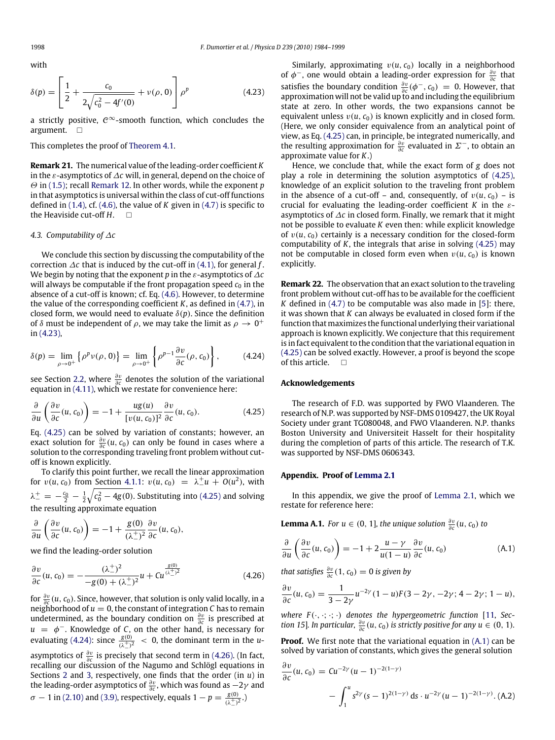with

$$
\delta(p) = \left[\frac{1}{2} + \frac{c_0}{2\sqrt{c_0^2 - 4f'(0)}} + \nu(\rho, 0)\right]\rho^p
$$
\n(4.23)

a strictly positive,  $e^{\infty}$ -smooth function, which concludes the argument.  $\square$ 

This completes the proof of [Theorem 4.1.](#page-10-9)

**Remark 21.** The numerical value of the leading-order coefficient *K* in the ε-asymptotics of ∆*c* will, in general, depend on the choice of Θ in [\(1.5\);](#page-1-1) recall [Remark 12.](#page-8-0) In other words, while the exponent *p* in that asymptotics is universal within the class of cut-off functions defined in [\(1.4\),](#page-1-0) cf. [\(4.6\),](#page-10-10) the value of *K* given in [\(4.7\)](#page-10-11) is specific to the Heaviside cut-off *H*.

## *4.3. Computability of* ∆*c*

We conclude this section by discussing the computability of the correction ∆*c* that is induced by the cut-off in [\(4.1\),](#page-10-1) for general *f* . We begin by noting that the exponent *p* in the ε-asymptotics of ∆*c* will always be computable if the front propagation speed  $c_0$  in the absence of a cut-off is known; cf. Eq. [\(4.6\).](#page-10-10) However, to determine the value of the corresponding coefficient *K*, as defined in [\(4.7\),](#page-10-11) in closed form, we would need to evaluate  $\delta(p)$ . Since the definition of  $\delta$  must be independent of  $\rho$ , we may take the limit as  $\rho\rightarrow0^+$ in [\(4.23\),](#page-14-1)

$$
\delta(p) = \lim_{\rho \to 0^+} \left\{ \rho^p \nu(\rho, 0) \right\} = \lim_{\rho \to 0^+} \left\{ \rho^{p-1} \frac{\partial v}{\partial c}(\rho, c_0) \right\},\tag{4.24}
$$

see Section [2.2,](#page-5-3) where  $\frac{\partial v}{\partial c}$  denotes the solution of the variational equation in [\(4.11\),](#page-10-14) which we restate for convenience here:

$$
\frac{\partial}{\partial u}\left(\frac{\partial v}{\partial c}(u, c_0)\right) = -1 + \frac{ug(u)}{[v(u, c_0)]^2} \frac{\partial v}{\partial c}(u, c_0).
$$
 (4.25)

Eq. [\(4.25\)](#page-14-2) can be solved by variation of constants; however, an exact solution for  $\frac{\partial v}{\partial c}(u, c_0)$  can only be found in cases where a solution to the corresponding traveling front problem without cutoff is known explicitly.

To clarify this point further, we recall the linear approximation for  $v(u, c_0)$  from Section [4.1.1:](#page-11-0)  $v(u, c_0) = \lambda_{-}^+ u + O(u^2)$ , with  $\lambda_{-}^{+}=-\frac{c_0}{2}-\frac{1}{2}\sqrt{c_0^2-4g(0)}.$  Substituting into [\(4.25\)](#page-14-2) and solving the resulting approximate equation

$$
\frac{\partial}{\partial u}\left(\frac{\partial v}{\partial c}(u, c_0)\right) = -1 + \frac{g(0)}{(\lambda^+_-)^2} \frac{\partial v}{\partial c}(u, c_0),
$$

we find the leading-order solution

$$
\frac{\partial v}{\partial c}(u, c_0) = -\frac{(\lambda^+_-)^2}{-g(0) + (\lambda^+_-)^2}u + Cu^{\frac{g(0)}{(\lambda^+_-)^2}}
$$
(4.26)

for  $\frac{\partial v}{\partial c}(u, c_0)$ . Since, however, that solution is only valid locally, in a neighborhood of  $u = 0$ , the constant of integration  $C$  has to remain undetermined, as the boundary condition on  $\frac{\partial v}{\partial c}$  is prescribed at  $u = \phi^-$ . Knowledge of *C*, on the other hand, is necessary for evaluating [\(4.24\):](#page-14-3) since  $\frac{g(0)}{(\lambda_+^+)^2} < 0$ , the dominant term in the *u*asymptotics of  $\frac{\partial v}{\partial c}$  is precisely that second term in [\(4.26\).](#page-14-4) (In fact, recalling our discussion of the Nagumo and Schlögl equations in Sections [2](#page-2-0) and [3,](#page-9-0) respectively, one finds that the order (in *u*) in the leading-order asymptotics of  $\frac{\partial v}{\partial c}$ , which was found as  $-2\gamma$  and  $\sigma - 1$  in [\(2.10\)](#page-3-5) and [\(3.9\),](#page-9-9) respectively, equals  $1 - p = \frac{g(0)}{(\lambda+)^2}$ .)

<span id="page-14-1"></span>Similarly, approximating  $v(u, c_0)$  locally in a neighborhood of  $\phi^-$ , one would obtain a leading-order expression for  $\frac{\partial v}{\partial c}$  that satisfies the boundary condition  $\frac{\partial v}{\partial c}(\phi^-, c_0) = 0$ . However, that approximation will not be valid up to and including the equilibrium state at zero. In other words, the two expansions cannot be equivalent unless  $v(u, c_0)$  is known explicitly and in closed form. (Here, we only consider equivalence from an analytical point of view, as Eq. [\(4.25\)](#page-14-2) can, in principle, be integrated numerically, and the resulting approximation for  $\frac{\partial v}{\partial c}$  evaluated in  $\Sigma^-$ , to obtain an approximate value for *K*.)

Hence, we conclude that, while the exact form of *g* does not play a role in determining the solution asymptotics of [\(4.25\),](#page-14-2) knowledge of an explicit solution to the traveling front problem in the absence of a cut-off – and, consequently, of  $v(u, c_0)$  – is crucial for evaluating the leading-order coefficient *K* in the εasymptotics of ∆*c* in closed form. Finally, we remark that it might not be possible to evaluate *K* even then: while explicit knowledge of  $v(u, c_0)$  certainly is a necessary condition for the closed-form computability of *K*, the integrals that arise in solving [\(4.25\)](#page-14-2) may not be computable in closed form even when  $v(u, c_0)$  is known explicitly.

**Remark 22.** The observation that an exact solution to the traveling front problem without cut-off has to be available for the coefficient *K* defined in [\(4.7\)](#page-10-11) to be computable was also made in [\[5\]](#page-15-4): there, it was shown that *K* can always be evaluated in closed form if the function that maximizes the functional underlying their variational approach is known explicitly. We conjecture that this requirement is in fact equivalent to the condition that the variational equation in [\(4.25\)](#page-14-2) can be solved exactly. However, a proof is beyond the scope of this article.  $\square$ 

## <span id="page-14-3"></span>**Acknowledgements**

<span id="page-14-2"></span>The research of F.D. was supported by FWO Vlaanderen. The research of N.P. was supported by NSF-DMS 0109427, the UK Royal Society under grant TG080048, and FWO Vlaanderen. N.P. thanks Boston University and Universiteit Hasselt for their hospitality during the completion of parts of this article. The research of T.K. was supported by NSF-DMS 0606343.

## <span id="page-14-0"></span>**Appendix. Proof of [Lemma 2.1](#page-3-4)**

In this appendix, we give the proof of [Lemma 2.1,](#page-3-4) which we restate for reference here:

**Lemma A.1.** *For*  $u \in (0, 1]$ *, the unique solution*  $\frac{\partial v}{\partial c}(u, c_0)$  *to* 

<span id="page-14-5"></span>
$$
\frac{\partial}{\partial u}\left(\frac{\partial v}{\partial c}(u, c_0)\right) = -1 + 2\frac{u - \gamma}{u(1 - u)}\frac{\partial v}{\partial c}(u, c_0)
$$
\n(A.1)

<span id="page-14-4"></span>*that satisfies*  $\frac{\partial v}{\partial c}(1, c_0) = 0$  *is given by* 

$$
\frac{\partial v}{\partial c}(u, c_0) = \frac{1}{3 - 2\gamma}u^{-2\gamma}(1 - u)F(3 - 2\gamma, -2\gamma; 4 - 2\gamma; 1 - u),
$$

*where*  $F(\cdot, \cdot; \cdot; \cdot)$  *denotes the hypergeometric function* [\[11,](#page-15-10) *Section 15*]. *In particular,*  $\frac{\partial v}{\partial c}(u, c_0)$  *is strictly positive for any*  $u \in (0, 1)$ *.* 

**Proof.** We first note that the variational equation in  $(A,1)$  can be solved by variation of constants, which gives the general solution

<span id="page-14-6"></span>
$$
\frac{\partial v}{\partial c}(u, c_0) = Cu^{-2\gamma} (u - 1)^{-2(1-\gamma)}
$$
  
- 
$$
\int_1^u s^{2\gamma} (s - 1)^{2(1-\gamma)} ds \cdot u^{-2\gamma} (u - 1)^{-2(1-\gamma)} .
$$
 (A.2)